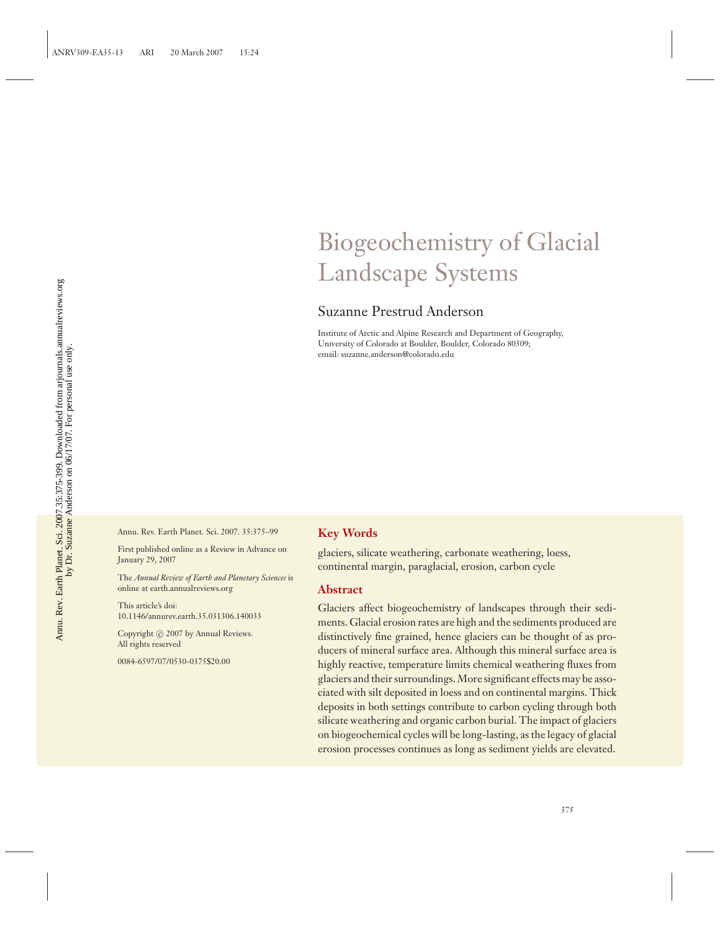## Biogeochemistry of Glacial Landscape Systems

## Suzanne Prestrud Anderson

Institute of Arctic and Alpine Research and Department of Geography, University of Colorado at Boulder, Boulder, Colorado 80309; email: suzanne.anderson@colorado.edu

Annu. Rev. Earth Planet. Sci. 2007. 35:375–99

First published online as a Review in Advance on January 29, 2007

The *Annual Review of Earth and Planetary Sciences* is online at earth.annualreviews.org

This article's doi: 10.1146/annurev.earth.35.031306.140033

Copyright  $\odot$  2007 by Annual Reviews. All rights reserved

0084-6597/07/0530-0375\$20.00

## **Key Words**

glaciers, silicate weathering, carbonate weathering, loess, continental margin, paraglacial, erosion, carbon cycle

#### **Abstract**

Glaciers affect biogeochemistry of landscapes through their sediments. Glacial erosion rates are high and the sediments produced are distinctively fine grained, hence glaciers can be thought of as producers of mineral surface area. Although this mineral surface area is highly reactive, temperature limits chemical weathering fluxes from glaciers and their surroundings. More significant effects may be associated with silt deposited in loess and on continental margins. Thick deposits in both settings contribute to carbon cycling through both silicate weathering and organic carbon burial. The impact of glaciers on biogeochemical cycles will be long-lasting, as the legacy of glacial erosion processes continues as long as sediment yields are elevated.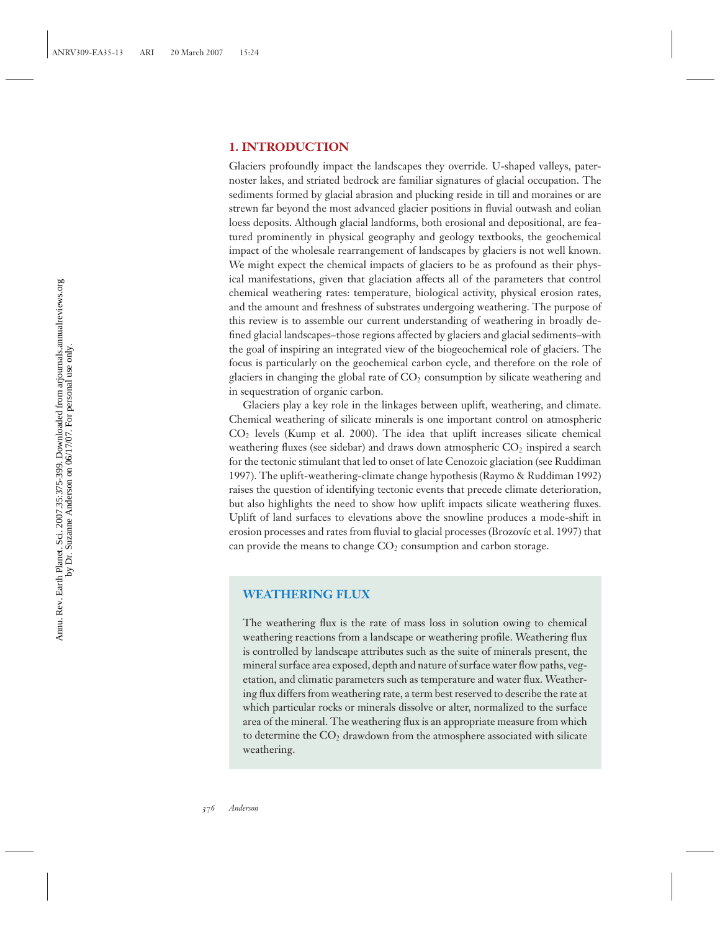## **1. INTRODUCTION**

Glaciers profoundly impact the landscapes they override. U-shaped valleys, paternoster lakes, and striated bedrock are familiar signatures of glacial occupation. The sediments formed by glacial abrasion and plucking reside in till and moraines or are strewn far beyond the most advanced glacier positions in fluvial outwash and eolian loess deposits. Although glacial landforms, both erosional and depositional, are featured prominently in physical geography and geology textbooks, the geochemical impact of the wholesale rearrangement of landscapes by glaciers is not well known. We might expect the chemical impacts of glaciers to be as profound as their physical manifestations, given that glaciation affects all of the parameters that control chemical weathering rates: temperature, biological activity, physical erosion rates, and the amount and freshness of substrates undergoing weathering. The purpose of this review is to assemble our current understanding of weathering in broadly defined glacial landscapes–those regions affected by glaciers and glacial sediments–with the goal of inspiring an integrated view of the biogeochemical role of glaciers. The focus is particularly on the geochemical carbon cycle, and therefore on the role of glaciers in changing the global rate of  $CO<sub>2</sub>$  consumption by silicate weathering and in sequestration of organic carbon.

Glaciers play a key role in the linkages between uplift, weathering, and climate. Chemical weathering of silicate minerals is one important control on atmospheric  $CO<sub>2</sub>$  levels (Kump et al. 2000). The idea that uplift increases silicate chemical weathering fluxes (see sidebar) and draws down atmospheric  $CO<sub>2</sub>$  inspired a search for the tectonic stimulant that led to onset of late Cenozoic glaciation (see Ruddiman 1997). The uplift-weathering-climate change hypothesis (Raymo & Ruddiman 1992) raises the question of identifying tectonic events that precede climate deterioration, but also highlights the need to show how uplift impacts silicate weathering fluxes. Uplift of land surfaces to elevations above the snowline produces a mode-shift in erosion processes and rates from fluvial to glacial processes (Brozovíc et al. 1997) that can provide the means to change  $CO<sub>2</sub>$  consumption and carbon storage.

## **WEATHERING FLUX**

The weathering flux is the rate of mass loss in solution owing to chemical weathering reactions from a landscape or weathering profile. Weathering flux is controlled by landscape attributes such as the suite of minerals present, the mineral surface area exposed, depth and nature of surface water flow paths, vegetation, and climatic parameters such as temperature and water flux. Weathering flux differs from weathering rate, a term best reserved to describe the rate at which particular rocks or minerals dissolve or alter, normalized to the surface area of the mineral. The weathering flux is an appropriate measure from which to determine the  $CO<sub>2</sub>$  drawdown from the atmosphere associated with silicate weathering.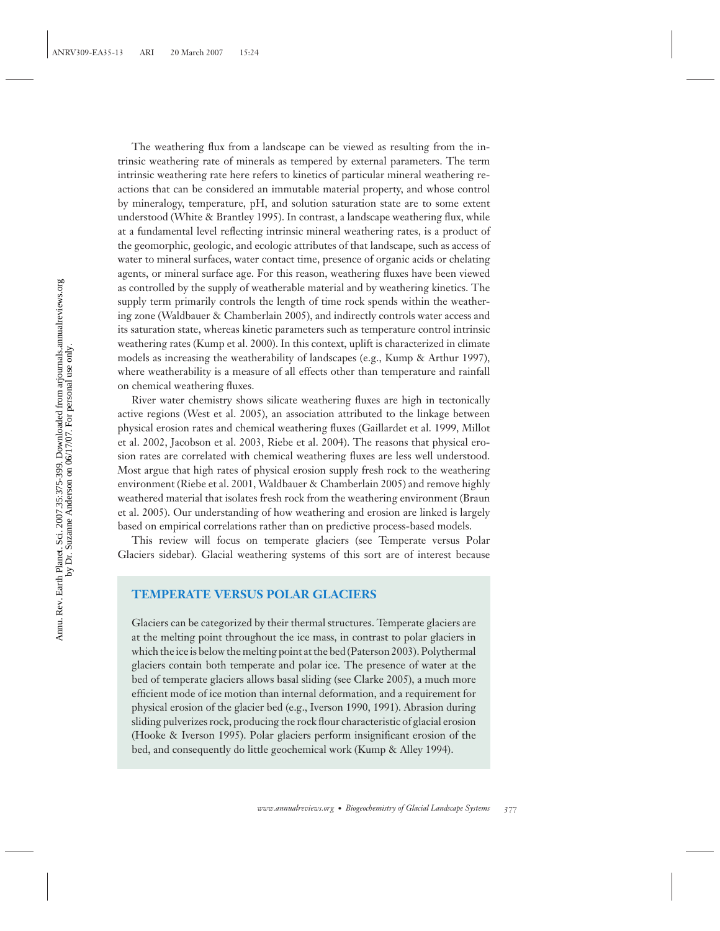The weathering flux from a landscape can be viewed as resulting from the intrinsic weathering rate of minerals as tempered by external parameters. The term intrinsic weathering rate here refers to kinetics of particular mineral weathering reactions that can be considered an immutable material property, and whose control by mineralogy, temperature, pH, and solution saturation state are to some extent understood (White & Brantley 1995). In contrast, a landscape weathering flux, while at a fundamental level reflecting intrinsic mineral weathering rates, is a product of the geomorphic, geologic, and ecologic attributes of that landscape, such as access of water to mineral surfaces, water contact time, presence of organic acids or chelating agents, or mineral surface age. For this reason, weathering fluxes have been viewed as controlled by the supply of weatherable material and by weathering kinetics. The supply term primarily controls the length of time rock spends within the weathering zone (Waldbauer & Chamberlain 2005), and indirectly controls water access and its saturation state, whereas kinetic parameters such as temperature control intrinsic weathering rates (Kump et al. 2000). In this context, uplift is characterized in climate models as increasing the weatherability of landscapes (e.g., Kump & Arthur 1997), where weatherability is a measure of all effects other than temperature and rainfall on chemical weathering fluxes.

River water chemistry shows silicate weathering fluxes are high in tectonically active regions (West et al. 2005), an association attributed to the linkage between physical erosion rates and chemical weathering fluxes (Gaillardet et al. 1999, Millot et al. 2002, Jacobson et al. 2003, Riebe et al. 2004). The reasons that physical erosion rates are correlated with chemical weathering fluxes are less well understood. Most argue that high rates of physical erosion supply fresh rock to the weathering environment (Riebe et al. 2001, Waldbauer & Chamberlain 2005) and remove highly weathered material that isolates fresh rock from the weathering environment (Braun et al. 2005). Our understanding of how weathering and erosion are linked is largely based on empirical correlations rather than on predictive process-based models.

This review will focus on temperate glaciers (see Temperate versus Polar Glaciers sidebar). Glacial weathering systems of this sort are of interest because

## **TEMPERATE VERSUS POLAR GLACIERS**

Glaciers can be categorized by their thermal structures. Temperate glaciers are at the melting point throughout the ice mass, in contrast to polar glaciers in which the ice is below the melting point at the bed (Paterson 2003). Polythermal glaciers contain both temperate and polar ice. The presence of water at the bed of temperate glaciers allows basal sliding (see Clarke 2005), a much more efficient mode of ice motion than internal deformation, and a requirement for physical erosion of the glacier bed (e.g., Iverson 1990, 1991). Abrasion during sliding pulverizes rock, producing the rock flour characteristic of glacial erosion (Hooke & Iverson 1995). Polar glaciers perform insignificant erosion of the bed, and consequently do little geochemical work (Kump & Alley 1994).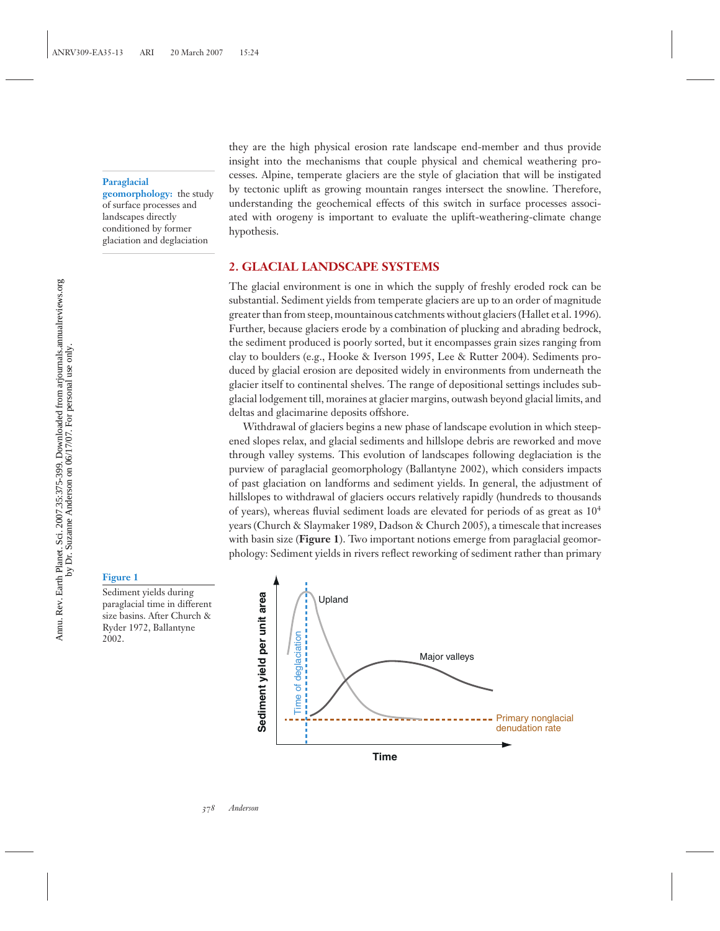**Paraglacial**

**geomorphology:** the study of surface processes and landscapes directly conditioned by former glaciation and deglaciation

they are the high physical erosion rate landscape end-member and thus provide insight into the mechanisms that couple physical and chemical weathering processes. Alpine, temperate glaciers are the style of glaciation that will be instigated by tectonic uplift as growing mountain ranges intersect the snowline. Therefore, understanding the geochemical effects of this switch in surface processes associated with orogeny is important to evaluate the uplift-weathering-climate change hypothesis.

## **2. GLACIAL LANDSCAPE SYSTEMS**

The glacial environment is one in which the supply of freshly eroded rock can be substantial. Sediment yields from temperate glaciers are up to an order of magnitude greater than from steep, mountainous catchments without glaciers (Hallet et al. 1996). Further, because glaciers erode by a combination of plucking and abrading bedrock, the sediment produced is poorly sorted, but it encompasses grain sizes ranging from clay to boulders (e.g., Hooke & Iverson 1995, Lee & Rutter 2004). Sediments produced by glacial erosion are deposited widely in environments from underneath the glacier itself to continental shelves. The range of depositional settings includes subglacial lodgement till, moraines at glacier margins, outwash beyond glacial limits, and deltas and glacimarine deposits offshore.

Withdrawal of glaciers begins a new phase of landscape evolution in which steepened slopes relax, and glacial sediments and hillslope debris are reworked and move through valley systems. This evolution of landscapes following deglaciation is the purview of paraglacial geomorphology (Ballantyne 2002), which considers impacts of past glaciation on landforms and sediment yields. In general, the adjustment of hillslopes to withdrawal of glaciers occurs relatively rapidly (hundreds to thousands of years), whereas fluvial sediment loads are elevated for periods of as great as  $10<sup>4</sup>$ years (Church & Slaymaker 1989, Dadson & Church 2005), a timescale that increases with basin size (**Figure 1**). Two important notions emerge from paraglacial geomorphology: Sediment yields in rivers reflect reworking of sediment rather than primary

#### **Figure 1**

Sediment yields during paraglacial time in different size basins. After Church & Ryder 1972, Ballantyne 2002.

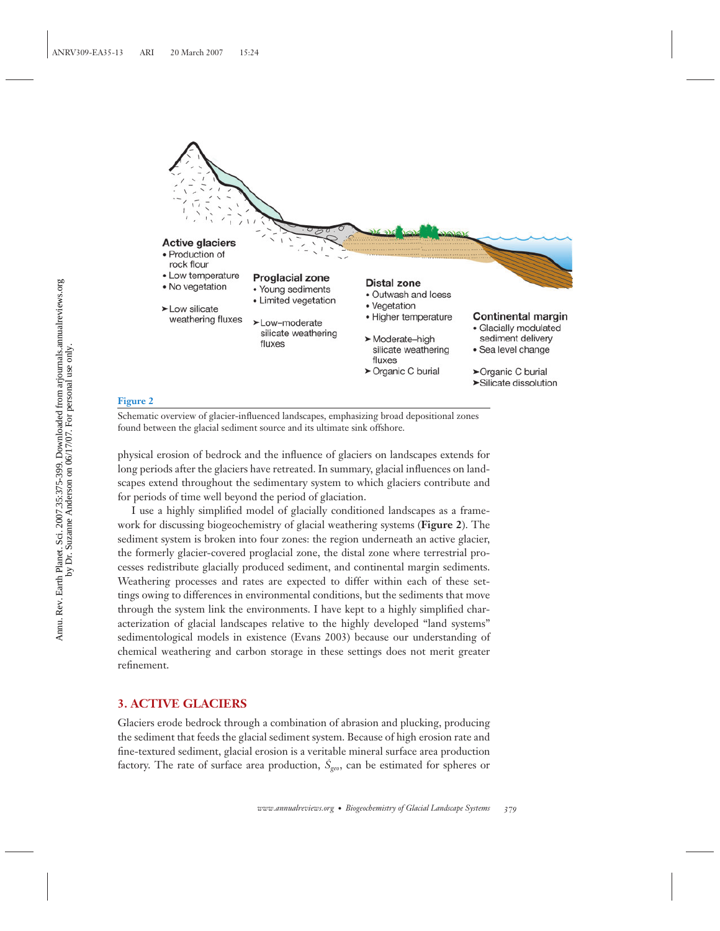

Schematic overview of glacier-influenced landscapes, emphasizing broad depositional zones found between the glacial sediment source and its ultimate sink offshore.

physical erosion of bedrock and the influence of glaciers on landscapes extends for long periods after the glaciers have retreated. In summary, glacial influences on landscapes extend throughout the sedimentary system to which glaciers contribute and for periods of time well beyond the period of glaciation.

I use a highly simplified model of glacially conditioned landscapes as a framework for discussing biogeochemistry of glacial weathering systems (**Figure 2**). The sediment system is broken into four zones: the region underneath an active glacier, the formerly glacier-covered proglacial zone, the distal zone where terrestrial processes redistribute glacially produced sediment, and continental margin sediments. Weathering processes and rates are expected to differ within each of these settings owing to differences in environmental conditions, but the sediments that move through the system link the environments. I have kept to a highly simplified characterization of glacial landscapes relative to the highly developed "land systems" sedimentological models in existence (Evans 2003) because our understanding of chemical weathering and carbon storage in these settings does not merit greater refinement.

## **3. ACTIVE GLACIERS**

Glaciers erode bedrock through a combination of abrasion and plucking, producing the sediment that feeds the glacial sediment system. Because of high erosion rate and fine-textured sediment, glacial erosion is a veritable mineral surface area production factory. The rate of surface area production,  $\dot{S}_{geo}$ , can be estimated for spheres or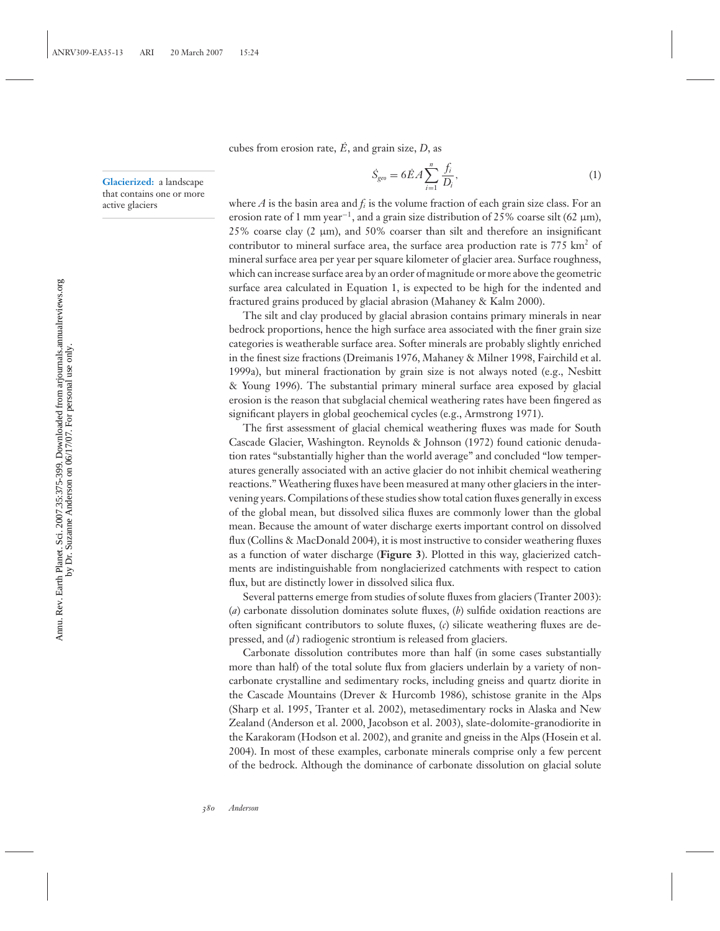cubes from erosion rate,  $\vec{E}$ , and grain size,  $D$ , as

**Glacierized:** a landscape that contains one or more active glaciers

$$
\dot{S}_{geo} = 6\dot{E}A \sum_{i=1}^{n} \frac{f_i}{D_i},
$$
\n(1)

where *A* is the basin area and  $f_i$  is the volume fraction of each grain size class. For an erosion rate of 1 mm year<sup>-1</sup>, and a grain size distribution of 25% coarse silt (62  $\mu$ m), 25% coarse clay (2 μm), and 50% coarser than silt and therefore an insignificant contributor to mineral surface area, the surface area production rate is  $775 \text{ km}^2$  of mineral surface area per year per square kilometer of glacier area. Surface roughness, which can increase surface area by an order of magnitude or more above the geometric surface area calculated in Equation 1, is expected to be high for the indented and fractured grains produced by glacial abrasion (Mahaney & Kalm 2000).

The silt and clay produced by glacial abrasion contains primary minerals in near bedrock proportions, hence the high surface area associated with the finer grain size categories is weatherable surface area. Softer minerals are probably slightly enriched in the finest size fractions (Dreimanis 1976, Mahaney & Milner 1998, Fairchild et al. 1999a), but mineral fractionation by grain size is not always noted (e.g., Nesbitt & Young 1996). The substantial primary mineral surface area exposed by glacial erosion is the reason that subglacial chemical weathering rates have been fingered as significant players in global geochemical cycles (e.g., Armstrong 1971).

The first assessment of glacial chemical weathering fluxes was made for South Cascade Glacier, Washington. Reynolds & Johnson (1972) found cationic denudation rates "substantially higher than the world average" and concluded "low temperatures generally associated with an active glacier do not inhibit chemical weathering reactions." Weathering fluxes have been measured at many other glaciers in the intervening years. Compilations of these studies show total cation fluxes generally in excess of the global mean, but dissolved silica fluxes are commonly lower than the global mean. Because the amount of water discharge exerts important control on dissolved flux (Collins & MacDonald 2004), it is most instructive to consider weathering fluxes as a function of water discharge (**Figure 3**). Plotted in this way, glacierized catchments are indistinguishable from nonglacierized catchments with respect to cation flux, but are distinctly lower in dissolved silica flux.

Several patterns emerge from studies of solute fluxes from glaciers (Tranter 2003): (*a*) carbonate dissolution dominates solute fluxes, (*b*) sulfide oxidation reactions are often significant contributors to solute fluxes, (*c*) silicate weathering fluxes are depressed, and (*d* ) radiogenic strontium is released from glaciers.

Carbonate dissolution contributes more than half (in some cases substantially more than half) of the total solute flux from glaciers underlain by a variety of noncarbonate crystalline and sedimentary rocks, including gneiss and quartz diorite in the Cascade Mountains (Drever & Hurcomb 1986), schistose granite in the Alps (Sharp et al. 1995, Tranter et al. 2002), metasedimentary rocks in Alaska and New Zealand (Anderson et al. 2000, Jacobson et al. 2003), slate-dolomite-granodiorite in the Karakoram (Hodson et al. 2002), and granite and gneiss in the Alps (Hosein et al. 2004). In most of these examples, carbonate minerals comprise only a few percent of the bedrock. Although the dominance of carbonate dissolution on glacial solute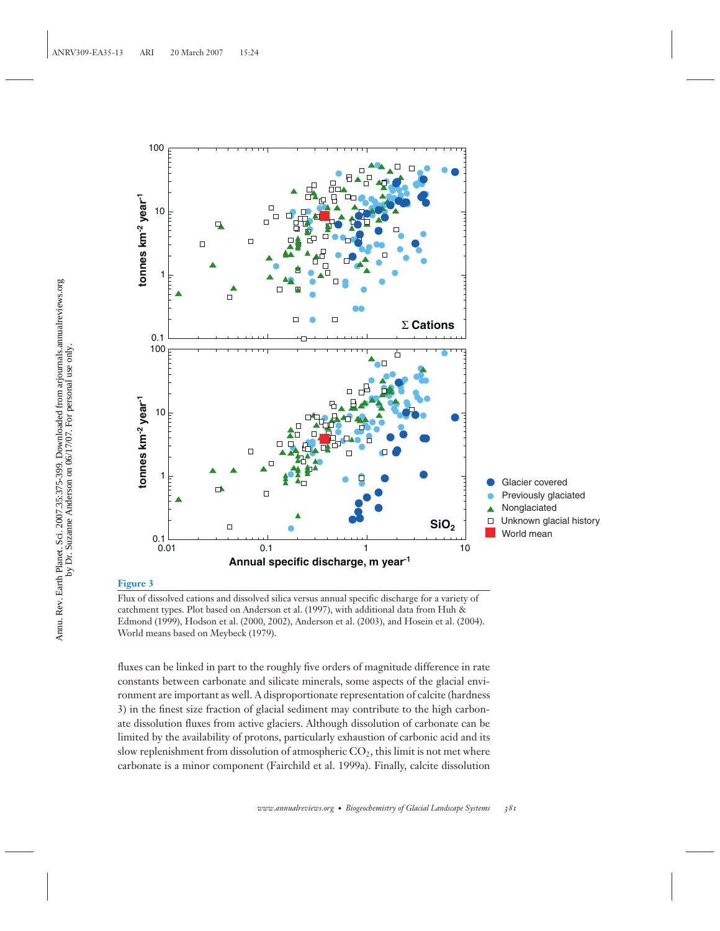

Flux of dissolved cations and dissolved silica versus annual specific discharge for a variety of catchment types. Plot based on Anderson et al. (1997), with additional data from Huh & Edmond (1999), Hodson et al. (2000, 2002), Anderson et al. (2003), and Hosein et al. (2004). World means based on Meybeck (1979).

fluxes can be linked in part to the roughly five orders of magnitude difference in rate constants between carbonate and silicate minerals, some aspects of the glacial environment are important as well. A disproportionate representation of calcite (hardness 3) in the finest size fraction of glacial sediment may contribute to the high carbonate dissolution fluxes from active glaciers. Although dissolution of carbonate can be limited by the availability of protons, particularly exhaustion of carbonic acid and its slow replenishment from dissolution of atmospheric  $CO<sub>2</sub>$ , this limit is not met where carbonate is a minor component (Fairchild et al. 1999a). Finally, calcite dissolution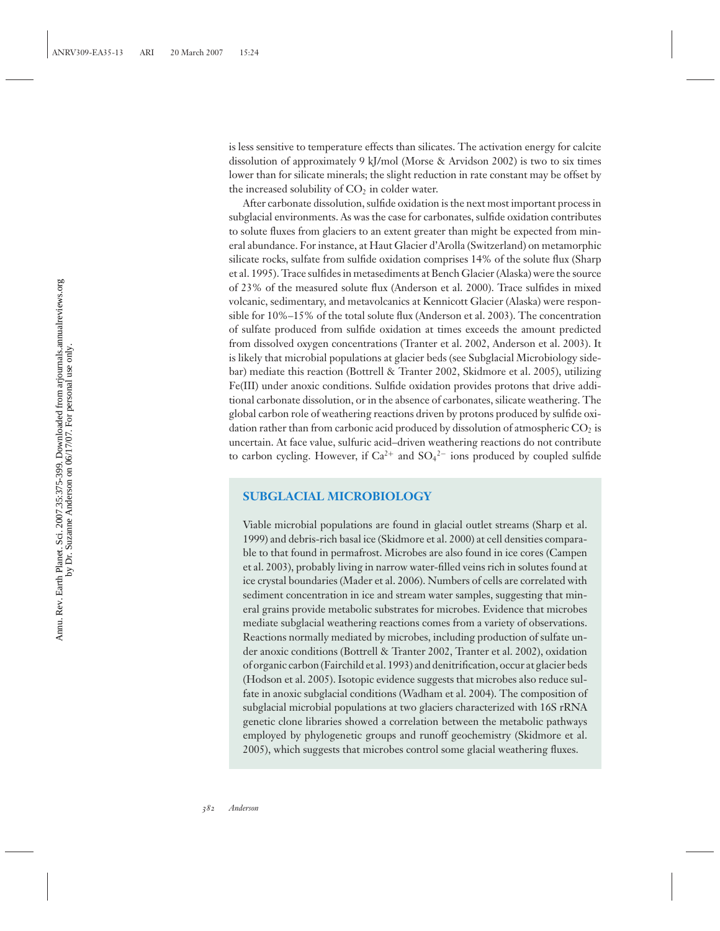is less sensitive to temperature effects than silicates. The activation energy for calcite dissolution of approximately 9 kJ/mol (Morse & Arvidson 2002) is two to six times lower than for silicate minerals; the slight reduction in rate constant may be offset by the increased solubility of  $CO<sub>2</sub>$  in colder water.

After carbonate dissolution, sulfide oxidation is the next most important process in subglacial environments. As was the case for carbonates, sulfide oxidation contributes to solute fluxes from glaciers to an extent greater than might be expected from mineral abundance. For instance, at Haut Glacier d'Arolla (Switzerland) on metamorphic silicate rocks, sulfate from sulfide oxidation comprises 14% of the solute flux (Sharp et al. 1995). Trace sulfides in metasediments at Bench Glacier (Alaska) were the source of 23% of the measured solute flux (Anderson et al. 2000). Trace sulfides in mixed volcanic, sedimentary, and metavolcanics at Kennicott Glacier (Alaska) were responsible for 10%–15% of the total solute flux (Anderson et al. 2003). The concentration of sulfate produced from sulfide oxidation at times exceeds the amount predicted from dissolved oxygen concentrations (Tranter et al. 2002, Anderson et al. 2003). It is likely that microbial populations at glacier beds (see Subglacial Microbiology sidebar) mediate this reaction (Bottrell & Tranter 2002, Skidmore et al. 2005), utilizing Fe(III) under anoxic conditions. Sulfide oxidation provides protons that drive additional carbonate dissolution, or in the absence of carbonates, silicate weathering. The global carbon role of weathering reactions driven by protons produced by sulfide oxidation rather than from carbonic acid produced by dissolution of atmospheric  $CO<sub>2</sub>$  is uncertain. At face value, sulfuric acid–driven weathering reactions do not contribute to carbon cycling. However, if  $Ca^{2+}$  and  $SO_4{}^{2-}$  ions produced by coupled sulfide

## **SUBGLACIAL MICROBIOLOGY**

Viable microbial populations are found in glacial outlet streams (Sharp et al. 1999) and debris-rich basal ice (Skidmore et al. 2000) at cell densities comparable to that found in permafrost. Microbes are also found in ice cores (Campen et al. 2003), probably living in narrow water-filled veins rich in solutes found at ice crystal boundaries (Mader et al. 2006). Numbers of cells are correlated with sediment concentration in ice and stream water samples, suggesting that mineral grains provide metabolic substrates for microbes. Evidence that microbes mediate subglacial weathering reactions comes from a variety of observations. Reactions normally mediated by microbes, including production of sulfate under anoxic conditions (Bottrell & Tranter 2002, Tranter et al. 2002), oxidation of organic carbon (Fairchild et al. 1993) and denitrification, occur at glacier beds (Hodson et al. 2005). Isotopic evidence suggests that microbes also reduce sulfate in anoxic subglacial conditions (Wadham et al. 2004). The composition of subglacial microbial populations at two glaciers characterized with 16S rRNA genetic clone libraries showed a correlation between the metabolic pathways employed by phylogenetic groups and runoff geochemistry (Skidmore et al. 2005), which suggests that microbes control some glacial weathering fluxes.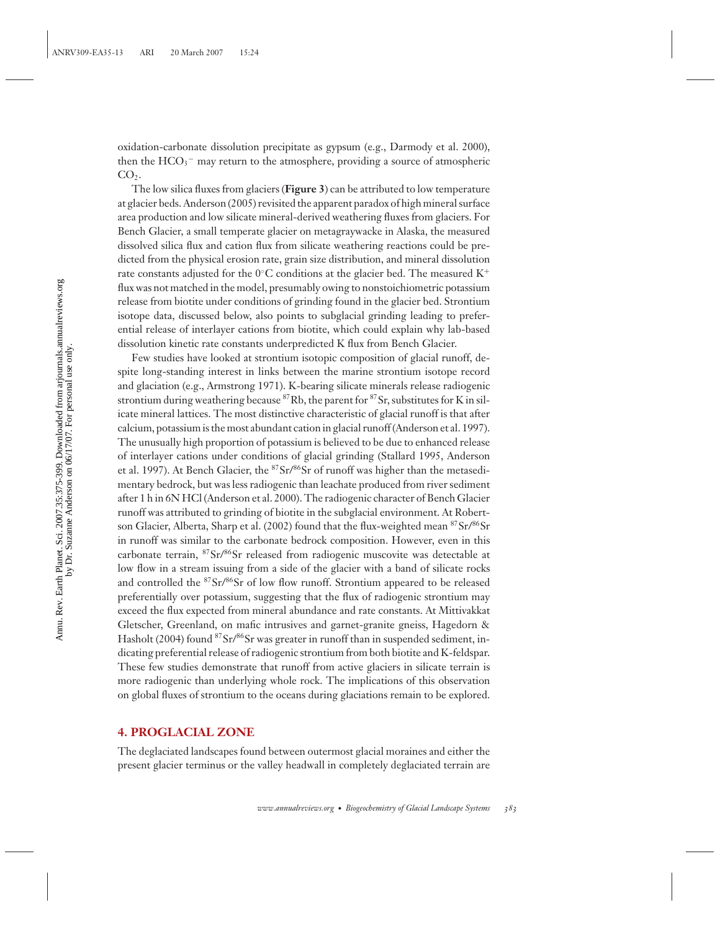oxidation-carbonate dissolution precipitate as gypsum (e.g., Darmody et al. 2000), then the  $\rm{HCO_3^-}$  may return to the atmosphere, providing a source of atmospheric  $CO<sub>2</sub>$ .

The low silica fluxes from glaciers (**Figure 3**) can be attributed to low temperature at glacier beds. Anderson (2005) revisited the apparent paradox of high mineral surface area production and low silicate mineral-derived weathering fluxes from glaciers. For Bench Glacier, a small temperate glacier on metagraywacke in Alaska, the measured dissolved silica flux and cation flux from silicate weathering reactions could be predicted from the physical erosion rate, grain size distribution, and mineral dissolution rate constants adjusted for the 0°C conditions at the glacier bed. The measured  $K^+$ flux was not matched in the model, presumably owing to nonstoichiometric potassium release from biotite under conditions of grinding found in the glacier bed. Strontium isotope data, discussed below, also points to subglacial grinding leading to preferential release of interlayer cations from biotite, which could explain why lab-based dissolution kinetic rate constants underpredicted K flux from Bench Glacier.

Few studies have looked at strontium isotopic composition of glacial runoff, despite long-standing interest in links between the marine strontium isotope record and glaciation (e.g., Armstrong 1971). K-bearing silicate minerals release radiogenic strontium during weathering because  ${}^{87}Rb$ , the parent for  ${}^{87}Sr$ , substitutes for K in silicate mineral lattices. The most distinctive characteristic of glacial runoff is that after calcium, potassium is the most abundant cation in glacial runoff (Anderson et al. 1997). The unusually high proportion of potassium is believed to be due to enhanced release of interlayer cations under conditions of glacial grinding (Stallard 1995, Anderson et al. 1997). At Bench Glacier, the  ${}^{87}Sr/{}^{86}Sr$  of runoff was higher than the metasedimentary bedrock, but was less radiogenic than leachate produced from river sediment after 1 h in 6N HCl (Anderson et al. 2000). The radiogenic character of Bench Glacier runoff was attributed to grinding of biotite in the subglacial environment. At Robertson Glacier, Alberta, Sharp et al. (2002) found that the flux-weighted mean <sup>87</sup>Sr/<sup>86</sup>Sr in runoff was similar to the carbonate bedrock composition. However, even in this carbonate terrain, <sup>87</sup>Sr/<sup>86</sup>Sr released from radiogenic muscovite was detectable at low flow in a stream issuing from a side of the glacier with a band of silicate rocks and controlled the <sup>87</sup>Sr/<sup>86</sup>Sr of low flow runoff. Strontium appeared to be released preferentially over potassium, suggesting that the flux of radiogenic strontium may exceed the flux expected from mineral abundance and rate constants. At Mittivakkat Gletscher, Greenland, on mafic intrusives and garnet-granite gneiss, Hagedorn & Hasholt (2004) found <sup>87</sup>Sr/<sup>86</sup>Sr was greater in runoff than in suspended sediment, indicating preferential release of radiogenic strontium from both biotite and K-feldspar. These few studies demonstrate that runoff from active glaciers in silicate terrain is more radiogenic than underlying whole rock. The implications of this observation on global fluxes of strontium to the oceans during glaciations remain to be explored.

## **4. PROGLACIAL ZONE**

The deglaciated landscapes found between outermost glacial moraines and either the present glacier terminus or the valley headwall in completely deglaciated terrain are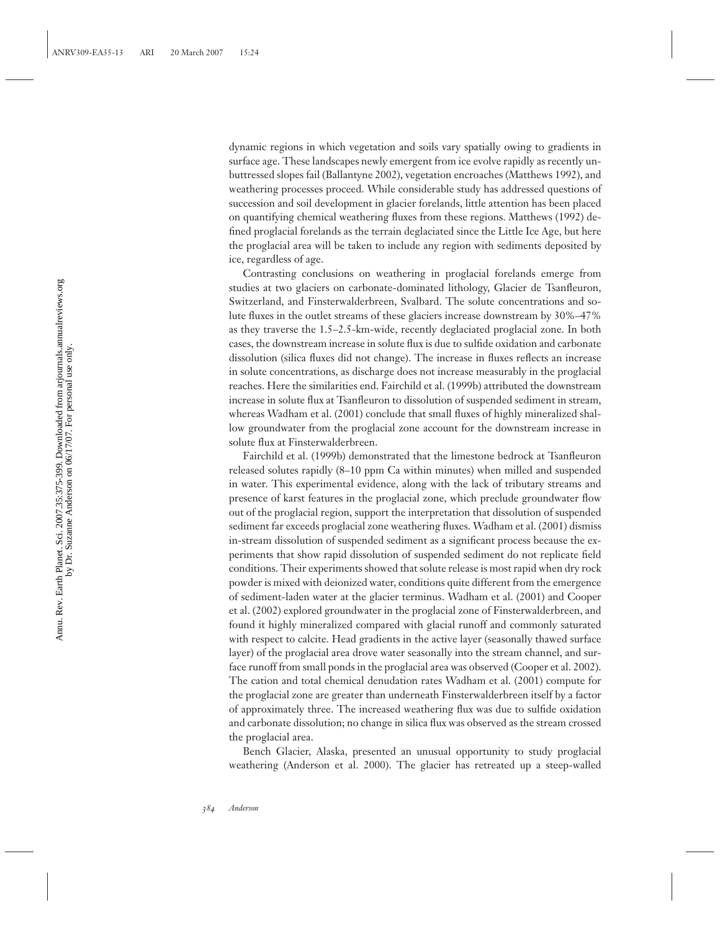dynamic regions in which vegetation and soils vary spatially owing to gradients in surface age. These landscapes newly emergent from ice evolve rapidly as recently unbuttressed slopes fail (Ballantyne 2002), vegetation encroaches (Matthews 1992), and weathering processes proceed. While considerable study has addressed questions of succession and soil development in glacier forelands, little attention has been placed on quantifying chemical weathering fluxes from these regions. Matthews (1992) defined proglacial forelands as the terrain deglaciated since the Little Ice Age, but here the proglacial area will be taken to include any region with sediments deposited by ice, regardless of age.

Contrasting conclusions on weathering in proglacial forelands emerge from studies at two glaciers on carbonate-dominated lithology, Glacier de Tsanfleuron, Switzerland, and Finsterwalderbreen, Svalbard. The solute concentrations and solute fluxes in the outlet streams of these glaciers increase downstream by 30%–47% as they traverse the 1.5–2.5-km-wide, recently deglaciated proglacial zone. In both cases, the downstream increase in solute flux is due to sulfide oxidation and carbonate dissolution (silica fluxes did not change). The increase in fluxes reflects an increase in solute concentrations, as discharge does not increase measurably in the proglacial reaches. Here the similarities end. Fairchild et al. (1999b) attributed the downstream increase in solute flux at Tsanfleuron to dissolution of suspended sediment in stream, whereas Wadham et al. (2001) conclude that small fluxes of highly mineralized shallow groundwater from the proglacial zone account for the downstream increase in solute flux at Finsterwalderbreen.

Fairchild et al. (1999b) demonstrated that the limestone bedrock at Tsanfleuron released solutes rapidly (8–10 ppm Ca within minutes) when milled and suspended in water. This experimental evidence, along with the lack of tributary streams and presence of karst features in the proglacial zone, which preclude groundwater flow out of the proglacial region, support the interpretation that dissolution of suspended sediment far exceeds proglacial zone weathering fluxes. Wadham et al. (2001) dismiss in-stream dissolution of suspended sediment as a significant process because the experiments that show rapid dissolution of suspended sediment do not replicate field conditions. Their experiments showed that solute release is most rapid when dry rock powder is mixed with deionized water, conditions quite different from the emergence of sediment-laden water at the glacier terminus. Wadham et al. (2001) and Cooper et al. (2002) explored groundwater in the proglacial zone of Finsterwalderbreen, and found it highly mineralized compared with glacial runoff and commonly saturated with respect to calcite. Head gradients in the active layer (seasonally thawed surface layer) of the proglacial area drove water seasonally into the stream channel, and surface runoff from small ponds in the proglacial area was observed (Cooper et al. 2002). The cation and total chemical denudation rates Wadham et al. (2001) compute for the proglacial zone are greater than underneath Finsterwalderbreen itself by a factor of approximately three. The increased weathering flux was due to sulfide oxidation and carbonate dissolution; no change in silica flux was observed as the stream crossed the proglacial area.

Bench Glacier, Alaska, presented an unusual opportunity to study proglacial weathering (Anderson et al. 2000). The glacier has retreated up a steep-walled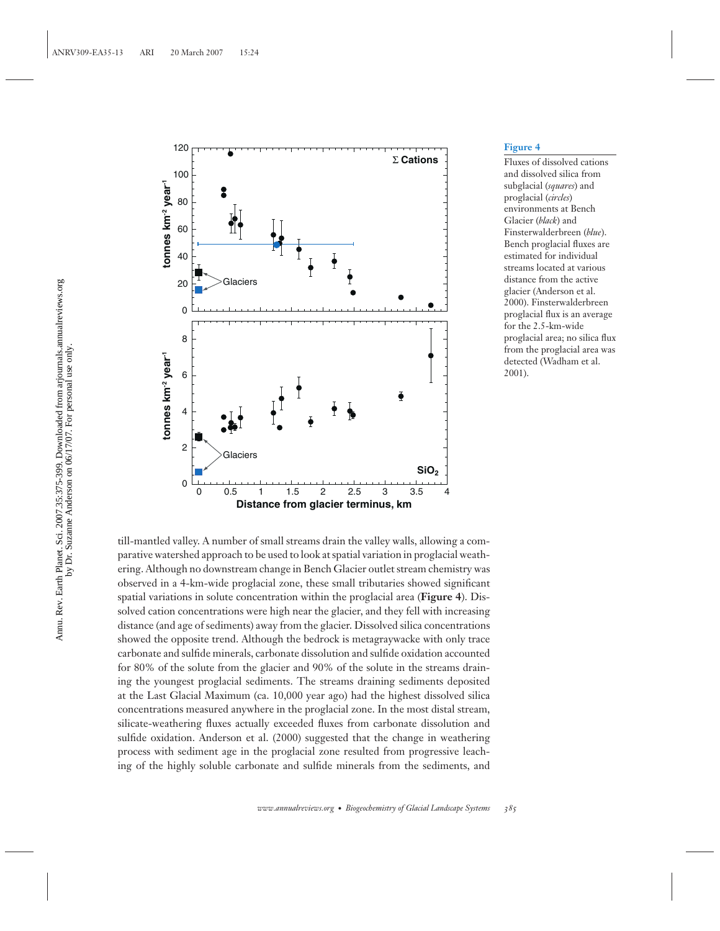

Fluxes of dissolved cations and dissolved silica from subglacial (*squares*) and proglacial (*circles*) environments at Bench Glacier (*black*) and Finsterwalderbreen (*blue*). Bench proglacial fluxes are estimated for individual streams located at various distance from the active glacier (Anderson et al. 2000). Finsterwalderbreen proglacial flux is an average for the 2.5-km-wide proglacial area; no silica flux from the proglacial area was detected (Wadham et al. 2001).

till-mantled valley. A number of small streams drain the valley walls, allowing a comparative watershed approach to be used to look at spatial variation in proglacial weathering. Although no downstream change in Bench Glacier outlet stream chemistry was observed in a 4-km-wide proglacial zone, these small tributaries showed significant spatial variations in solute concentration within the proglacial area (**Figure 4**). Dissolved cation concentrations were high near the glacier, and they fell with increasing distance (and age of sediments) away from the glacier. Dissolved silica concentrations showed the opposite trend. Although the bedrock is metagraywacke with only trace carbonate and sulfide minerals, carbonate dissolution and sulfide oxidation accounted for 80% of the solute from the glacier and 90% of the solute in the streams draining the youngest proglacial sediments. The streams draining sediments deposited at the Last Glacial Maximum (ca. 10,000 year ago) had the highest dissolved silica concentrations measured anywhere in the proglacial zone. In the most distal stream, silicate-weathering fluxes actually exceeded fluxes from carbonate dissolution and sulfide oxidation. Anderson et al. (2000) suggested that the change in weathering process with sediment age in the proglacial zone resulted from progressive leaching of the highly soluble carbonate and sulfide minerals from the sediments, and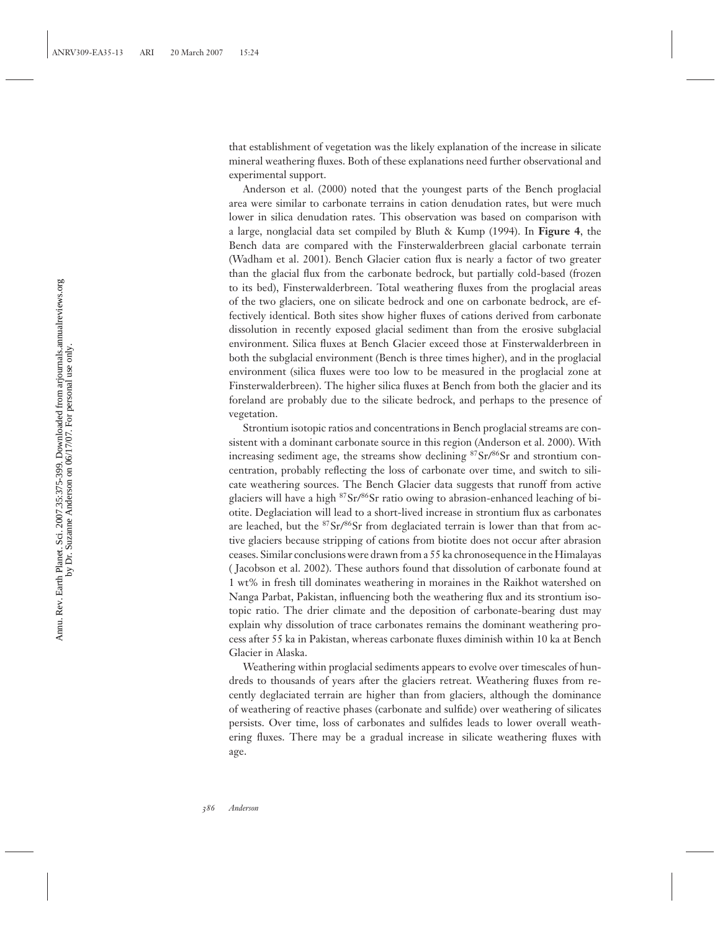that establishment of vegetation was the likely explanation of the increase in silicate mineral weathering fluxes. Both of these explanations need further observational and experimental support.

Anderson et al. (2000) noted that the youngest parts of the Bench proglacial area were similar to carbonate terrains in cation denudation rates, but were much lower in silica denudation rates. This observation was based on comparison with a large, nonglacial data set compiled by Bluth & Kump (1994). In **Figure 4**, the Bench data are compared with the Finsterwalderbreen glacial carbonate terrain (Wadham et al. 2001). Bench Glacier cation flux is nearly a factor of two greater than the glacial flux from the carbonate bedrock, but partially cold-based (frozen to its bed), Finsterwalderbreen. Total weathering fluxes from the proglacial areas of the two glaciers, one on silicate bedrock and one on carbonate bedrock, are effectively identical. Both sites show higher fluxes of cations derived from carbonate dissolution in recently exposed glacial sediment than from the erosive subglacial environment. Silica fluxes at Bench Glacier exceed those at Finsterwalderbreen in both the subglacial environment (Bench is three times higher), and in the proglacial environment (silica fluxes were too low to be measured in the proglacial zone at Finsterwalderbreen). The higher silica fluxes at Bench from both the glacier and its foreland are probably due to the silicate bedrock, and perhaps to the presence of vegetation.

Strontium isotopic ratios and concentrations in Bench proglacial streams are consistent with a dominant carbonate source in this region (Anderson et al. 2000). With increasing sediment age, the streams show declining <sup>87</sup>Sr/86Sr and strontium concentration, probably reflecting the loss of carbonate over time, and switch to silicate weathering sources. The Bench Glacier data suggests that runoff from active glaciers will have a high  ${}^{87}Sr/{}^{86}Sr$  ratio owing to abrasion-enhanced leaching of biotite. Deglaciation will lead to a short-lived increase in strontium flux as carbonates are leached, but the  $87Sr/86Sr$  from deglaciated terrain is lower than that from active glaciers because stripping of cations from biotite does not occur after abrasion ceases. Similar conclusions were drawn from a 55 ka chronosequence in the Himalayas ( Jacobson et al. 2002). These authors found that dissolution of carbonate found at 1 wt% in fresh till dominates weathering in moraines in the Raikhot watershed on Nanga Parbat, Pakistan, influencing both the weathering flux and its strontium isotopic ratio. The drier climate and the deposition of carbonate-bearing dust may explain why dissolution of trace carbonates remains the dominant weathering process after 55 ka in Pakistan, whereas carbonate fluxes diminish within 10 ka at Bench Glacier in Alaska.

Weathering within proglacial sediments appears to evolve over timescales of hundreds to thousands of years after the glaciers retreat. Weathering fluxes from recently deglaciated terrain are higher than from glaciers, although the dominance of weathering of reactive phases (carbonate and sulfide) over weathering of silicates persists. Over time, loss of carbonates and sulfides leads to lower overall weathering fluxes. There may be a gradual increase in silicate weathering fluxes with age.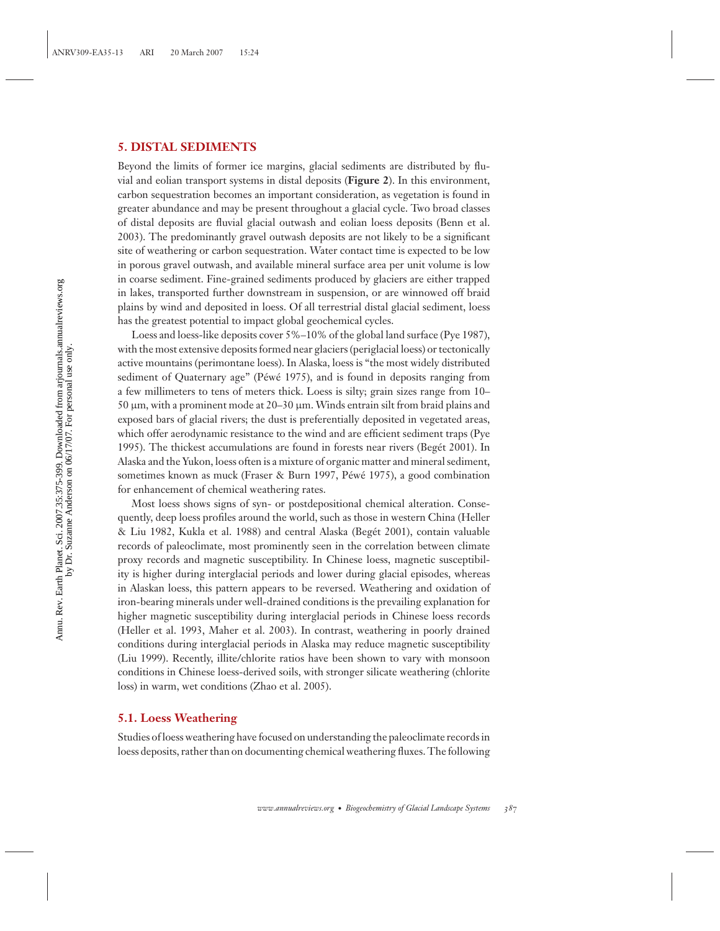## **5. DISTAL SEDIMENTS**

Beyond the limits of former ice margins, glacial sediments are distributed by fluvial and eolian transport systems in distal deposits (**Figure 2**). In this environment, carbon sequestration becomes an important consideration, as vegetation is found in greater abundance and may be present throughout a glacial cycle. Two broad classes of distal deposits are fluvial glacial outwash and eolian loess deposits (Benn et al. 2003). The predominantly gravel outwash deposits are not likely to be a significant site of weathering or carbon sequestration. Water contact time is expected to be low in porous gravel outwash, and available mineral surface area per unit volume is low in coarse sediment. Fine-grained sediments produced by glaciers are either trapped in lakes, transported further downstream in suspension, or are winnowed off braid plains by wind and deposited in loess. Of all terrestrial distal glacial sediment, loess has the greatest potential to impact global geochemical cycles.

Loess and loess-like deposits cover 5%–10% of the global land surface (Pye 1987), with the most extensive deposits formed near glaciers (periglacial loess) or tectonically active mountains (perimontane loess). In Alaska, loess is "the most widely distributed sediment of Quaternary age" (Péwé 1975), and is found in deposits ranging from a few millimeters to tens of meters thick. Loess is silty; grain sizes range from 10– 50 μm, with a prominent mode at 20–30 μm. Winds entrain silt from braid plains and exposed bars of glacial rivers; the dust is preferentially deposited in vegetated areas, which offer aerodynamic resistance to the wind and are efficient sediment traps (Pye 1995). The thickest accumulations are found in forests near rivers (Beget 2001). In ´ Alaska and the Yukon, loess often is a mixture of organic matter and mineral sediment, sometimes known as muck (Fraser & Burn 1997, Péwé 1975), a good combination for enhancement of chemical weathering rates.

Most loess shows signs of syn- or postdepositional chemical alteration. Consequently, deep loess profiles around the world, such as those in western China (Heller & Liu 1982, Kukla et al. 1988) and central Alaska (Beget 2001), contain valuable ´ records of paleoclimate, most prominently seen in the correlation between climate proxy records and magnetic susceptibility. In Chinese loess, magnetic susceptibility is higher during interglacial periods and lower during glacial episodes, whereas in Alaskan loess, this pattern appears to be reversed. Weathering and oxidation of iron-bearing minerals under well-drained conditions is the prevailing explanation for higher magnetic susceptibility during interglacial periods in Chinese loess records (Heller et al. 1993, Maher et al. 2003). In contrast, weathering in poorly drained conditions during interglacial periods in Alaska may reduce magnetic susceptibility (Liu 1999). Recently, illite/chlorite ratios have been shown to vary with monsoon conditions in Chinese loess-derived soils, with stronger silicate weathering (chlorite loss) in warm, wet conditions (Zhao et al. 2005).

#### **5.1. Loess Weathering**

Studies of loess weathering have focused on understanding the paleoclimate records in loess deposits, rather than on documenting chemical weathering fluxes. The following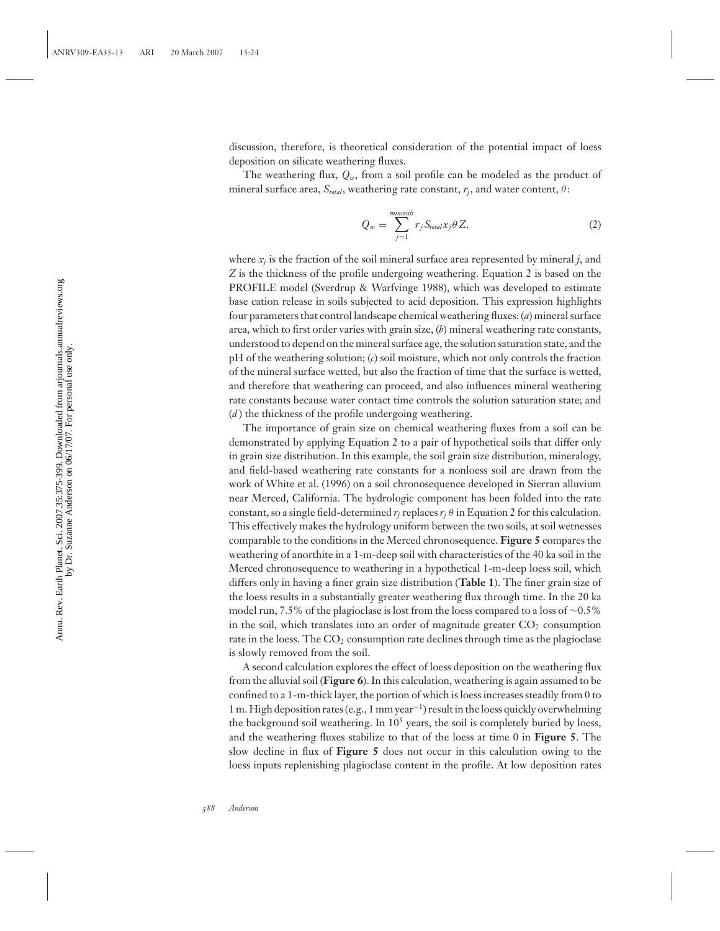discussion, therefore, is theoretical consideration of the potential impact of loess deposition on silicate weathering fluxes.

The weathering flux,  $Q_w$ , from a soil profile can be modeled as the product of mineral surface area,  $S_{total}$ , weathering rate constant,  $r_i$ , and water content,  $\theta$ :

$$
Q_w = \sum_{j=1}^{minerals} r_j S_{total} x_j \theta Z,
$$
 (2)

where  $x_i$  is the fraction of the soil mineral surface area represented by mineral  $j$ , and *Z* is the thickness of the profile undergoing weathering. Equation 2 is based on the PROFILE model (Sverdrup & Warfvinge 1988), which was developed to estimate base cation release in soils subjected to acid deposition. This expression highlights four parameters that control landscape chemical weathering fluxes: (*a*) mineral surface area, which to first order varies with grain size, (*b*) mineral weathering rate constants, understood to depend on the mineral surface age, the solution saturation state, and the pH of the weathering solution; (*c*) soil moisture, which not only controls the fraction of the mineral surface wetted, but also the fraction of time that the surface is wetted, and therefore that weathering can proceed, and also influences mineral weathering rate constants because water contact time controls the solution saturation state; and (*d* ) the thickness of the profile undergoing weathering.

The importance of grain size on chemical weathering fluxes from a soil can be demonstrated by applying Equation 2 to a pair of hypothetical soils that differ only in grain size distribution. In this example, the soil grain size distribution, mineralogy, and field-based weathering rate constants for a nonloess soil are drawn from the work of White et al. (1996) on a soil chronosequence developed in Sierran alluvium near Merced, California. The hydrologic component has been folded into the rate constant, so a single field-determined  $r_i$  replaces  $r_j$   $\theta$  in Equation 2 for this calculation. This effectively makes the hydrology uniform between the two soils, at soil wetnesses comparable to the conditions in the Merced chronosequence. **Figure 5** compares the weathering of anorthite in a 1-m-deep soil with characteristics of the 40 ka soil in the Merced chronosequence to weathering in a hypothetical 1-m-deep loess soil, which differs only in having a finer grain size distribution (**Table 1**). The finer grain size of the loess results in a substantially greater weathering flux through time. In the 20 ka model run, 7.5% of the plagioclase is lost from the loess compared to a loss of ∼0.5% in the soil, which translates into an order of magnitude greater  $CO<sub>2</sub>$  consumption rate in the loess. The  $CO<sub>2</sub>$  consumption rate declines through time as the plagioclase is slowly removed from the soil.

A second calculation explores the effect of loess deposition on the weathering flux from the alluvial soil (**Figure 6**). In this calculation, weathering is again assumed to be confined to a 1-m-thick layer, the portion of which is loess increases steadily from 0 to 1 m. High deposition rates (e.g., 1 mm year−1) result in the loess quickly overwhelming the background soil weathering. In  $10<sup>3</sup>$  years, the soil is completely buried by loess, and the weathering fluxes stabilize to that of the loess at time 0 in **Figure 5**. The slow decline in flux of **Figure 5** does not occur in this calculation owing to the loess inputs replenishing plagioclase content in the profile. At low deposition rates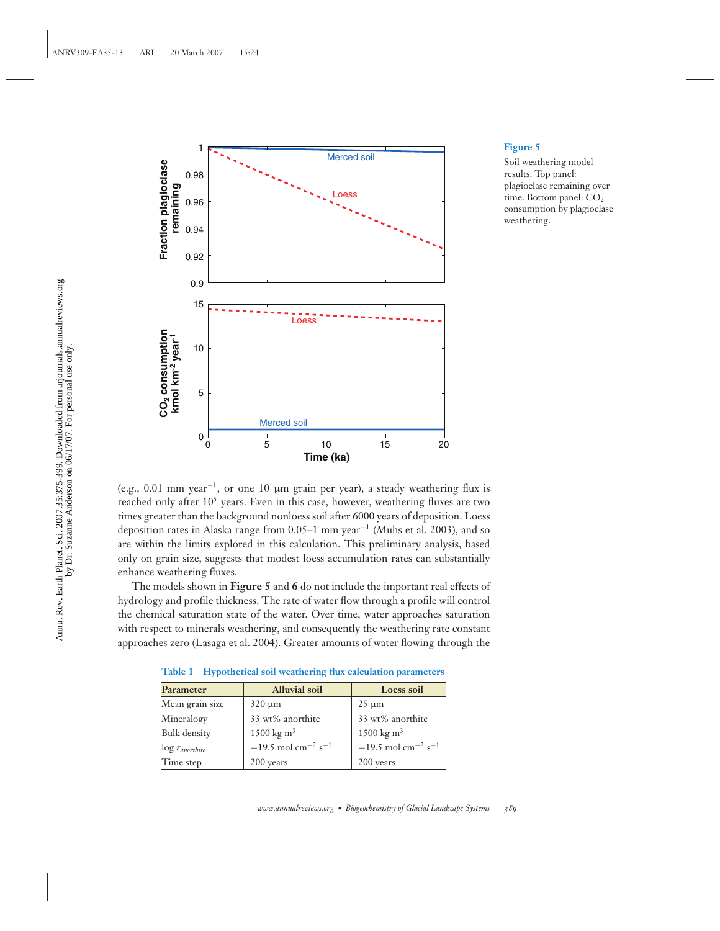

Soil weathering model results. Top panel: plagioclase remaining over time. Bottom panel: CO<sub>2</sub> consumption by plagioclase weathering.

(e.g., 0.01 mm year<sup>-1</sup>, or one 10 µm grain per year), a steady weathering flux is reached only after  $10<sup>5</sup>$  years. Even in this case, however, weathering fluxes are two times greater than the background nonloess soil after 6000 years of deposition. Loess deposition rates in Alaska range from 0.05–1 mm year<sup>-1</sup> (Muhs et al. 2003), and so are within the limits explored in this calculation. This preliminary analysis, based only on grain size, suggests that modest loess accumulation rates can substantially enhance weathering fluxes.

The models shown in **Figure 5** and **6** do not include the important real effects of hydrology and profile thickness. The rate of water flow through a profile will control the chemical saturation state of the water. Over time, water approaches saturation with respect to minerals weathering, and consequently the weathering rate constant approaches zero (Lasaga et al. 2004). Greater amounts of water flowing through the

| Parameter                     | <b>Alluvial soil</b>                         | Loess soil                                   |
|-------------------------------|----------------------------------------------|----------------------------------------------|
| Mean grain size               | $320 \mu m$                                  | $25 \mu m$                                   |
| Mineralogy                    | 33 wt% anorthite                             | 33 wt% anorthite                             |
| Bulk density                  | $1500 \text{ kg m}^3$                        | $1500 \text{ kg m}^3$                        |
| $\log r_{\textit{anortbite}}$ | $-19.5$ mol cm <sup>-2</sup> s <sup>-1</sup> | $-19.5$ mol cm <sup>-2</sup> s <sup>-1</sup> |
| Time step                     | 200 years                                    | 200 years                                    |

**Table 1 Hypothetical soil weathering flux calculation parameters**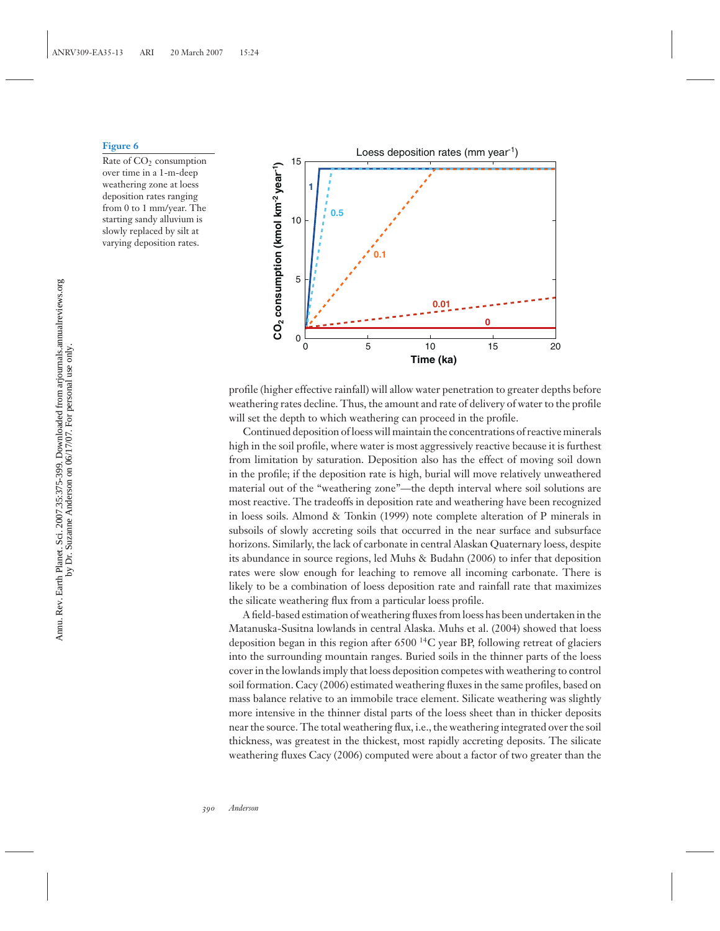Rate of CO<sub>2</sub> consumption over time in a 1-m-deep weathering zone at loess deposition rates ranging from 0 to 1 mm/year. The starting sandy alluvium is slowly replaced by silt at varying deposition rates.



profile (higher effective rainfall) will allow water penetration to greater depths before weathering rates decline. Thus, the amount and rate of delivery of water to the profile will set the depth to which weathering can proceed in the profile.

Continued deposition of loess will maintain the concentrations of reactive minerals high in the soil profile, where water is most aggressively reactive because it is furthest from limitation by saturation. Deposition also has the effect of moving soil down in the profile; if the deposition rate is high, burial will move relatively unweathered material out of the "weathering zone"—the depth interval where soil solutions are most reactive. The tradeoffs in deposition rate and weathering have been recognized in loess soils. Almond & Tonkin (1999) note complete alteration of P minerals in subsoils of slowly accreting soils that occurred in the near surface and subsurface horizons. Similarly, the lack of carbonate in central Alaskan Quaternary loess, despite its abundance in source regions, led Muhs & Budahn (2006) to infer that deposition rates were slow enough for leaching to remove all incoming carbonate. There is likely to be a combination of loess deposition rate and rainfall rate that maximizes the silicate weathering flux from a particular loess profile.

A field-based estimation of weathering fluxes from loess has been undertaken in the Matanuska-Susitna lowlands in central Alaska. Muhs et al. (2004) showed that loess deposition began in this region after 6500 14C year BP, following retreat of glaciers into the surrounding mountain ranges. Buried soils in the thinner parts of the loess cover in the lowlands imply that loess deposition competes with weathering to control soil formation. Cacy (2006) estimated weathering fluxes in the same profiles, based on mass balance relative to an immobile trace element. Silicate weathering was slightly more intensive in the thinner distal parts of the loess sheet than in thicker deposits near the source. The total weathering flux, i.e., the weathering integrated over the soil thickness, was greatest in the thickest, most rapidly accreting deposits. The silicate weathering fluxes Cacy (2006) computed were about a factor of two greater than the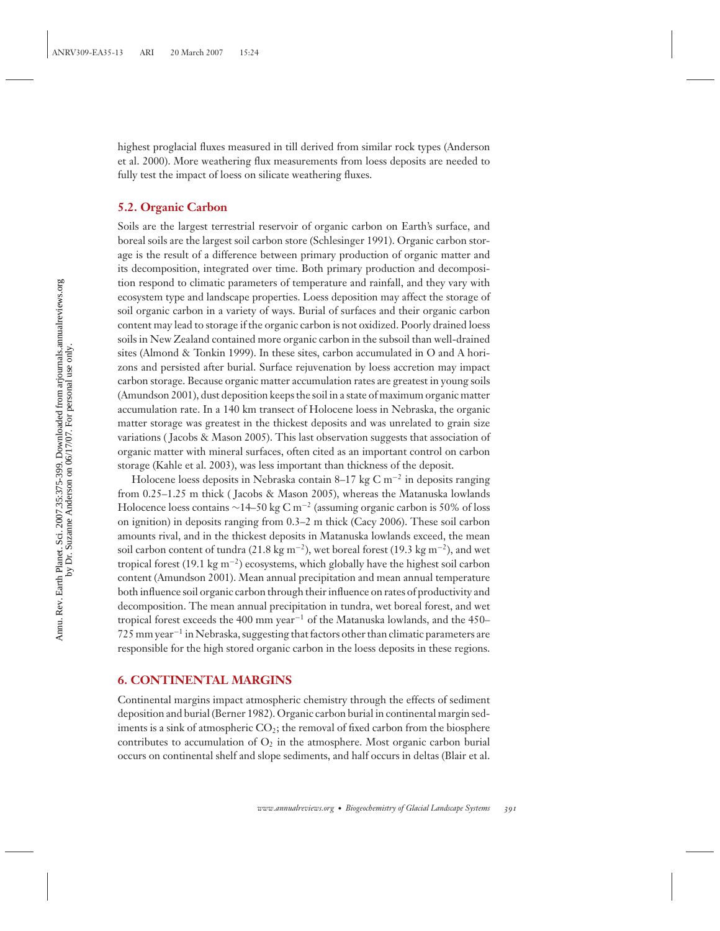highest proglacial fluxes measured in till derived from similar rock types (Anderson et al. 2000). More weathering flux measurements from loess deposits are needed to fully test the impact of loess on silicate weathering fluxes.

## **5.2. Organic Carbon**

Soils are the largest terrestrial reservoir of organic carbon on Earth's surface, and boreal soils are the largest soil carbon store (Schlesinger 1991). Organic carbon storage is the result of a difference between primary production of organic matter and its decomposition, integrated over time. Both primary production and decomposition respond to climatic parameters of temperature and rainfall, and they vary with ecosystem type and landscape properties. Loess deposition may affect the storage of soil organic carbon in a variety of ways. Burial of surfaces and their organic carbon content may lead to storage if the organic carbon is not oxidized. Poorly drained loess soils in New Zealand contained more organic carbon in the subsoil than well-drained sites (Almond & Tonkin 1999). In these sites, carbon accumulated in O and A horizons and persisted after burial. Surface rejuvenation by loess accretion may impact carbon storage. Because organic matter accumulation rates are greatest in young soils (Amundson 2001), dust deposition keeps the soil in a state of maximum organic matter accumulation rate. In a 140 km transect of Holocene loess in Nebraska, the organic matter storage was greatest in the thickest deposits and was unrelated to grain size variations ( Jacobs & Mason 2005). This last observation suggests that association of organic matter with mineral surfaces, often cited as an important control on carbon storage (Kahle et al. 2003), was less important than thickness of the deposit.

Holocene loess deposits in Nebraska contain 8–17 kg C m<sup>-2</sup> in deposits ranging from 0.25–1.25 m thick ( Jacobs & Mason 2005), whereas the Matanuska lowlands Holocence loess contains  $\sim$ 14–50 kg C m<sup>-2</sup> (assuming organic carbon is 50% of loss on ignition) in deposits ranging from 0.3–2 m thick (Cacy 2006). These soil carbon amounts rival, and in the thickest deposits in Matanuska lowlands exceed, the mean soil carbon content of tundra (21.8 kg m−2), wet boreal forest (19.3 kg m−2), and wet tropical forest (19.1 kg m−2) ecosystems, which globally have the highest soil carbon content (Amundson 2001). Mean annual precipitation and mean annual temperature both influence soil organic carbon through their influence on rates of productivity and decomposition. The mean annual precipitation in tundra, wet boreal forest, and wet tropical forest exceeds the 400 mm year−<sup>1</sup> of the Matanuska lowlands, and the 450– 725 mm year−<sup>1</sup> in Nebraska, suggesting that factors other than climatic parameters are responsible for the high stored organic carbon in the loess deposits in these regions.

## **6. CONTINENTAL MARGINS**

Continental margins impact atmospheric chemistry through the effects of sediment deposition and burial (Berner 1982). Organic carbon burial in continental margin sediments is a sink of atmospheric  $CO_2$ ; the removal of fixed carbon from the biosphere contributes to accumulation of  $O_2$  in the atmosphere. Most organic carbon burial occurs on continental shelf and slope sediments, and half occurs in deltas (Blair et al.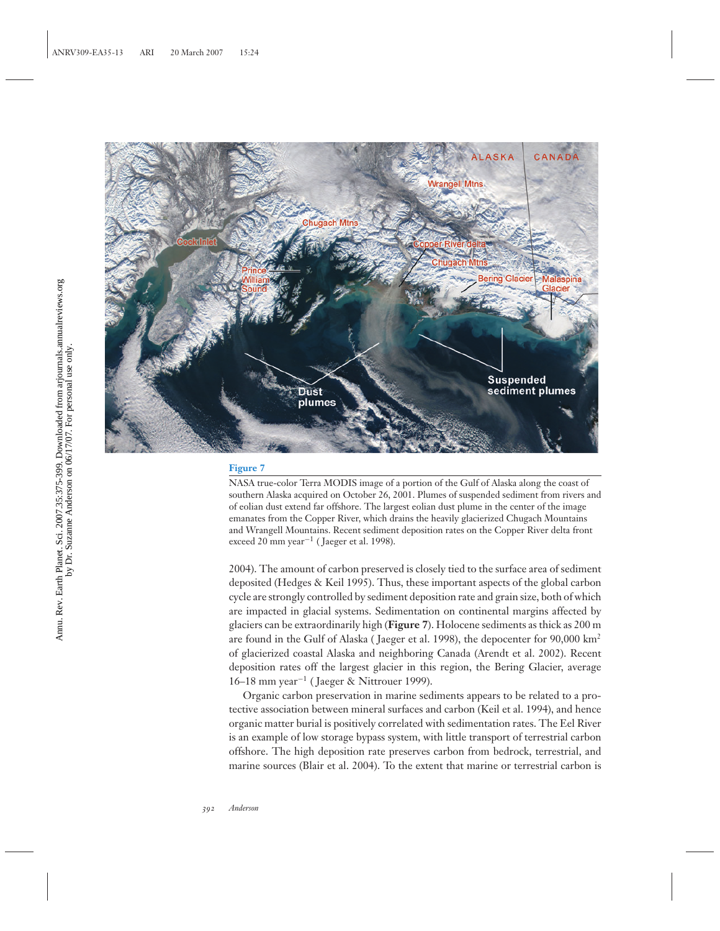

NASA true-color Terra MODIS image of a portion of the Gulf of Alaska along the coast of southern Alaska acquired on October 26, 2001. Plumes of suspended sediment from rivers and of eolian dust extend far offshore. The largest eolian dust plume in the center of the image emanates from the Copper River, which drains the heavily glacierized Chugach Mountains and Wrangell Mountains. Recent sediment deposition rates on the Copper River delta front exceed 20 mm year−<sup>1</sup> ( Jaeger et al. 1998).

2004). The amount of carbon preserved is closely tied to the surface area of sediment deposited (Hedges & Keil 1995). Thus, these important aspects of the global carbon cycle are strongly controlled by sediment deposition rate and grain size, both of which are impacted in glacial systems. Sedimentation on continental margins affected by glaciers can be extraordinarily high (**Figure 7**). Holocene sediments as thick as 200 m are found in the Gulf of Alaska ( Jaeger et al. 1998), the depocenter for 90,000 km<sup>2</sup> of glacierized coastal Alaska and neighboring Canada (Arendt et al. 2002). Recent deposition rates off the largest glacier in this region, the Bering Glacier, average 16–18 mm year−<sup>1</sup> ( Jaeger & Nittrouer 1999).

Organic carbon preservation in marine sediments appears to be related to a protective association between mineral surfaces and carbon (Keil et al. 1994), and hence organic matter burial is positively correlated with sedimentation rates. The Eel River is an example of low storage bypass system, with little transport of terrestrial carbon offshore. The high deposition rate preserves carbon from bedrock, terrestrial, and marine sources (Blair et al. 2004). To the extent that marine or terrestrial carbon is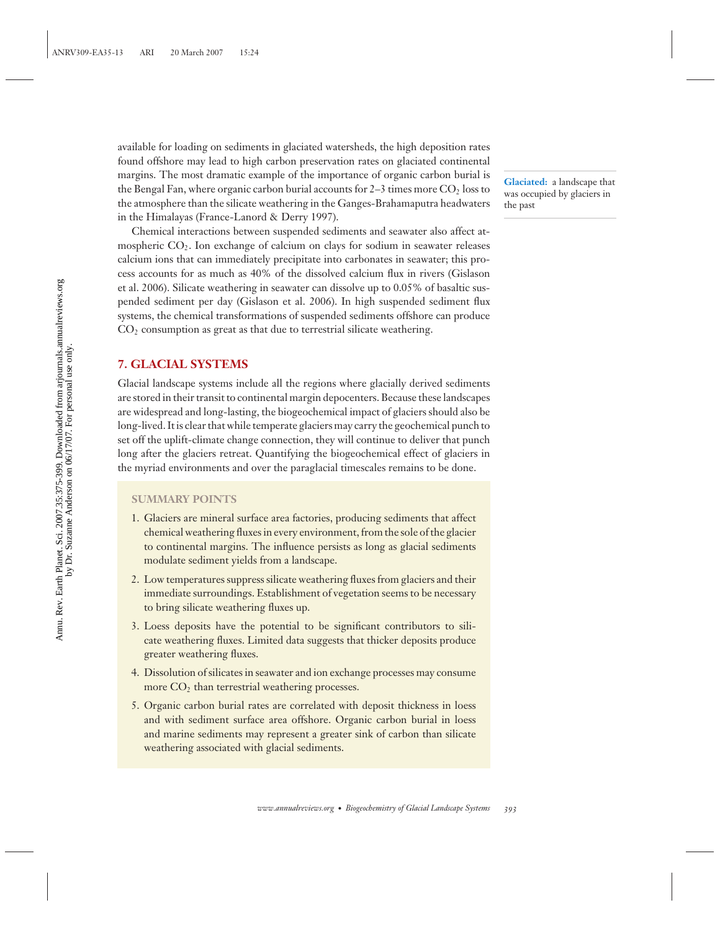available for loading on sediments in glaciated watersheds, the high deposition rates found offshore may lead to high carbon preservation rates on glaciated continental margins. The most dramatic example of the importance of organic carbon burial is the Bengal Fan, where organic carbon burial accounts for  $2-3$  times more  $CO<sub>2</sub>$  loss to the atmosphere than the silicate weathering in the Ganges-Brahamaputra headwaters in the Himalayas (France-Lanord & Derry 1997).

Chemical interactions between suspended sediments and seawater also affect atmospheric CO2. Ion exchange of calcium on clays for sodium in seawater releases calcium ions that can immediately precipitate into carbonates in seawater; this process accounts for as much as 40% of the dissolved calcium flux in rivers (Gislason et al. 2006). Silicate weathering in seawater can dissolve up to 0.05% of basaltic suspended sediment per day (Gislason et al. 2006). In high suspended sediment flux systems, the chemical transformations of suspended sediments offshore can produce  $CO<sub>2</sub>$  consumption as great as that due to terrestrial silicate weathering.

## **7. GLACIAL SYSTEMS**

Glacial landscape systems include all the regions where glacially derived sediments are stored in their transit to continental margin depocenters. Because these landscapes are widespread and long-lasting, the biogeochemical impact of glaciers should also be long-lived. It is clear that while temperate glaciers may carry the geochemical punch to set off the uplift-climate change connection, they will continue to deliver that punch long after the glaciers retreat. Quantifying the biogeochemical effect of glaciers in the myriad environments and over the paraglacial timescales remains to be done.

## **SUMMARY POINTS**

- 1. Glaciers are mineral surface area factories, producing sediments that affect chemical weathering fluxes in every environment, from the sole of the glacier to continental margins. The influence persists as long as glacial sediments modulate sediment yields from a landscape.
- 2. Low temperatures suppress silicate weathering fluxes from glaciers and their immediate surroundings. Establishment of vegetation seems to be necessary to bring silicate weathering fluxes up.
- 3. Loess deposits have the potential to be significant contributors to silicate weathering fluxes. Limited data suggests that thicker deposits produce greater weathering fluxes.
- 4. Dissolution of silicates in seawater and ion exchange processes may consume more  $CO<sub>2</sub>$  than terrestrial weathering processes.
- 5. Organic carbon burial rates are correlated with deposit thickness in loess and with sediment surface area offshore. Organic carbon burial in loess and marine sediments may represent a greater sink of carbon than silicate weathering associated with glacial sediments.

**Glaciated:** a landscape that was occupied by glaciers in the past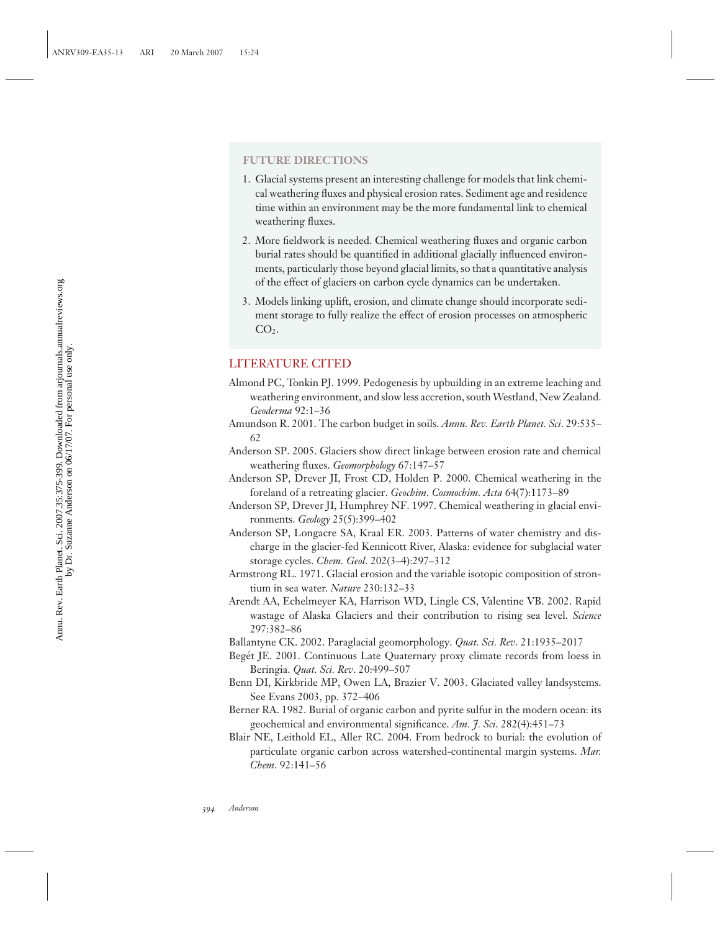## **FUTURE DIRECTIONS**

- 1. Glacial systems present an interesting challenge for models that link chemical weathering fluxes and physical erosion rates. Sediment age and residence time within an environment may be the more fundamental link to chemical weathering fluxes.
- 2. More fieldwork is needed. Chemical weathering fluxes and organic carbon burial rates should be quantified in additional glacially influenced environments, particularly those beyond glacial limits, so that a quantitative analysis of the effect of glaciers on carbon cycle dynamics can be undertaken.
- 3. Models linking uplift, erosion, and climate change should incorporate sediment storage to fully realize the effect of erosion processes on atmospheric  $CO<sub>2</sub>$ .

## LITERATURE CITED

- Almond PC, Tonkin PJ. 1999. Pedogenesis by upbuilding in an extreme leaching and weathering environment, and slow less accretion, south Westland, New Zealand. *Geoderma* 92:1–36
- Amundson R. 2001. The carbon budget in soils. *Annu. Rev. Earth Planet. Sci*. 29:535– 62
- Anderson SP. 2005. Glaciers show direct linkage between erosion rate and chemical weathering fluxes. *Geomorphology* 67:147–57
- Anderson SP, Drever JI, Frost CD, Holden P. 2000. Chemical weathering in the foreland of a retreating glacier. *Geochim. Cosmochim. Acta* 64(7):1173–89
- Anderson SP, Drever JI, Humphrey NF. 1997. Chemical weathering in glacial environments. *Geology* 25(5):399–402
- Anderson SP, Longacre SA, Kraal ER. 2003. Patterns of water chemistry and discharge in the glacier-fed Kennicott River, Alaska: evidence for subglacial water storage cycles. *Chem. Geol*. 202(3–4):297–312
- Armstrong RL. 1971. Glacial erosion and the variable isotopic composition of strontium in sea water. *Nature* 230:132–33
- Arendt AA, Echelmeyer KA, Harrison WD, Lingle CS, Valentine VB. 2002. Rapid wastage of Alaska Glaciers and their contribution to rising sea level. *Science* 297:382–86
- Ballantyne CK. 2002. Paraglacial geomorphology. *Quat. Sci. Rev*. 21:1935–2017
- Begét JE. 2001. Continuous Late Quaternary proxy climate records from loess in Beringia. *Quat. Sci. Rev*. 20:499–507
- Benn DI, Kirkbride MP, Owen LA, Brazier V. 2003. Glaciated valley landsystems. See Evans 2003, pp. 372–406
- Berner RA. 1982. Burial of organic carbon and pyrite sulfur in the modern ocean: its geochemical and environmental significance. *Am. J. Sci*. 282(4):451–73
- Blair NE, Leithold EL, Aller RC. 2004. From bedrock to burial: the evolution of particulate organic carbon across watershed-continental margin systems. *Mar. Chem*. 92:141–56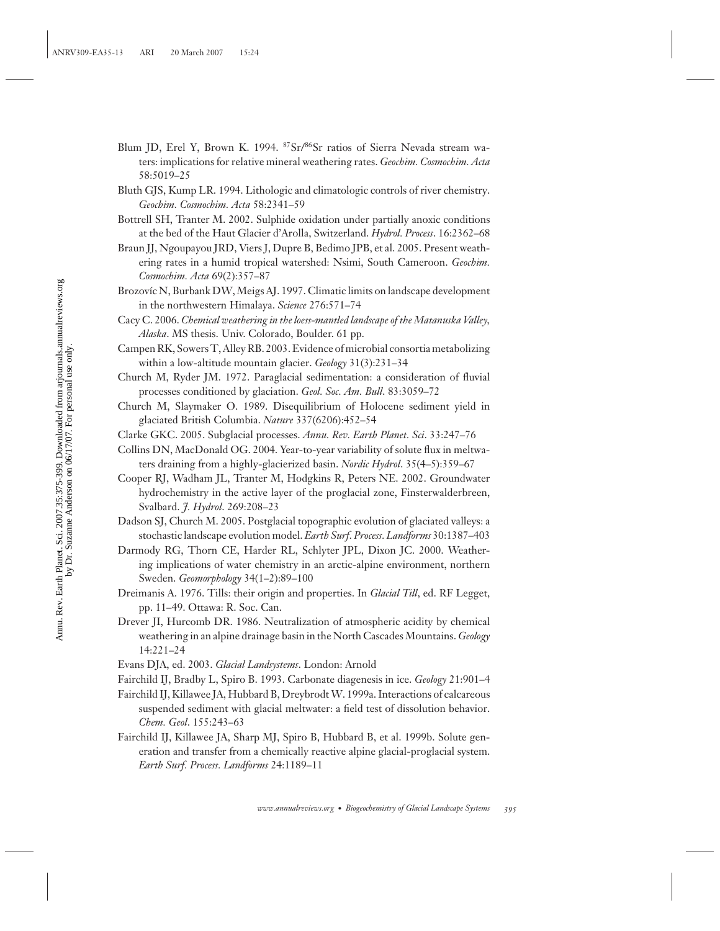- Blum JD, Erel Y, Brown K. 1994. <sup>87</sup>Sr/<sup>86</sup>Sr ratios of Sierra Nevada stream waters: implications for relative mineral weathering rates. *Geochim. Cosmochim. Acta* 58:5019–25
- Bluth GJS, Kump LR. 1994. Lithologic and climatologic controls of river chemistry. *Geochim. Cosmochim. Acta* 58:2341–59
- Bottrell SH, Tranter M. 2002. Sulphide oxidation under partially anoxic conditions at the bed of the Haut Glacier d'Arolla, Switzerland. *Hydrol. Process*. 16:2362–68
- Braun JJ, Ngoupayou JRD, Viers J, Dupre B, Bedimo JPB, et al. 2005. Present weathering rates in a humid tropical watershed: Nsimi, South Cameroon. *Geochim. Cosmochim. Acta* 69(2):357–87
- Brozovíc N, Burbank DW, Meigs AJ. 1997. Climatic limits on landscape development in the northwestern Himalaya. *Science* 276:571–74
- Cacy C. 2006. *Chemical weathering in the loess-mantled landscape of the Matanuska Valley, Alaska*. MS thesis. Univ. Colorado, Boulder. 61 pp.
- Campen RK, Sowers T, Alley RB. 2003. Evidence of microbial consortia metabolizing within a low-altitude mountain glacier. *Geology* 31(3):231–34
- Church M, Ryder JM. 1972. Paraglacial sedimentation: a consideration of fluvial processes conditioned by glaciation. *Geol. Soc. Am. Bull*. 83:3059–72
- Church M, Slaymaker O. 1989. Disequilibrium of Holocene sediment yield in glaciated British Columbia. *Nature* 337(6206):452–54
- Clarke GKC. 2005. Subglacial processes. *Annu. Rev. Earth Planet. Sci*. 33:247–76
- Collins DN, MacDonald OG. 2004. Year-to-year variability of solute flux in meltwaters draining from a highly-glacierized basin. *Nordic Hydrol*. 35(4–5):359–67
- Cooper RJ, Wadham JL, Tranter M, Hodgkins R, Peters NE. 2002. Groundwater hydrochemistry in the active layer of the proglacial zone, Finsterwalderbreen, Svalbard. *J. Hydrol*. 269:208–23
- Dadson SJ, Church M. 2005. Postglacial topographic evolution of glaciated valleys: a stochastic landscape evolution model. *Earth Surf. Process. Landforms* 30:1387–403
- Darmody RG, Thorn CE, Harder RL, Schlyter JPL, Dixon JC. 2000. Weathering implications of water chemistry in an arctic-alpine environment, northern Sweden. *Geomorphology* 34(1–2):89–100
- Dreimanis A. 1976. Tills: their origin and properties. In *Glacial Till*, ed. RF Legget, pp. 11–49. Ottawa: R. Soc. Can.
- Drever JI, Hurcomb DR. 1986. Neutralization of atmospheric acidity by chemical weathering in an alpine drainage basin in the North Cascades Mountains. *Geology* 14:221–24
- Evans DJA, ed. 2003. *Glacial Landsystems*. London: Arnold
- Fairchild IJ, Bradby L, Spiro B. 1993. Carbonate diagenesis in ice. *Geology* 21:901–4
- Fairchild IJ, Killawee JA, Hubbard B, Dreybrodt W. 1999a. Interactions of calcareous suspended sediment with glacial meltwater: a field test of dissolution behavior. *Chem. Geol*. 155:243–63
- Fairchild IJ, Killawee JA, Sharp MJ, Spiro B, Hubbard B, et al. 1999b. Solute generation and transfer from a chemically reactive alpine glacial-proglacial system. *Earth Surf. Process. Landforms* 24:1189–11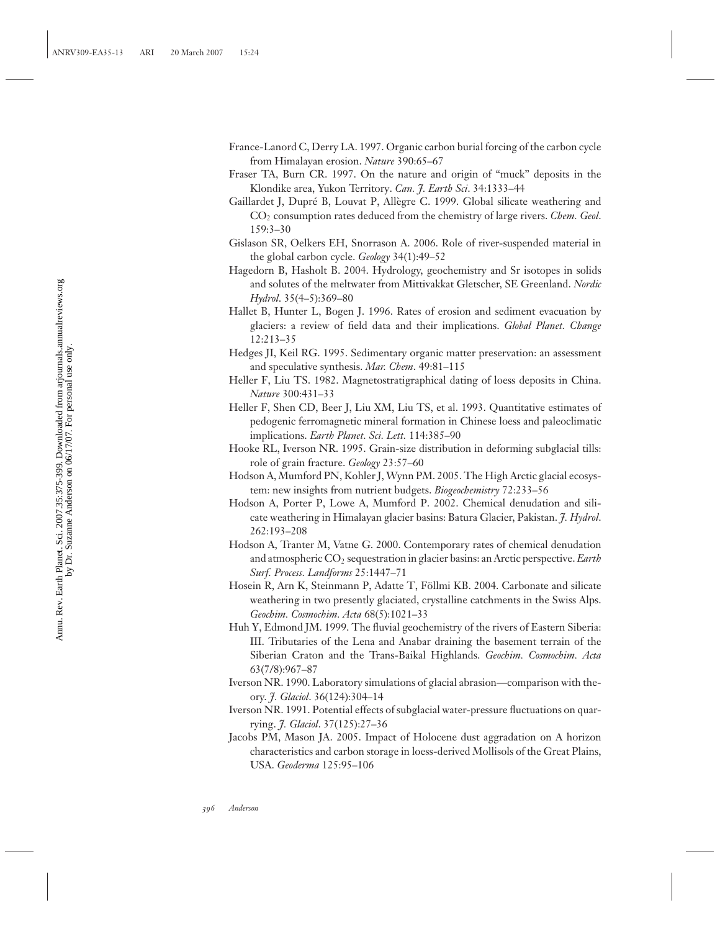- France-Lanord C, Derry LA. 1997. Organic carbon burial forcing of the carbon cycle from Himalayan erosion. *Nature* 390:65–67
- Fraser TA, Burn CR. 1997. On the nature and origin of "muck" deposits in the Klondike area, Yukon Territory. *Can. J. Earth Sci*. 34:1333–44
- Gaillardet J, Dupré B, Louvat P, Allègre C. 1999. Global silicate weathering and CO2 consumption rates deduced from the chemistry of large rivers. *Chem. Geol*. 159:3–30
- Gislason SR, Oelkers EH, Snorrason A. 2006. Role of river-suspended material in the global carbon cycle. *Geology* 34(1):49–52
- Hagedorn B, Hasholt B. 2004. Hydrology, geochemistry and Sr isotopes in solids and solutes of the meltwater from Mittivakkat Gletscher, SE Greenland. *Nordic Hydrol*. 35(4–5):369–80
- Hallet B, Hunter L, Bogen J. 1996. Rates of erosion and sediment evacuation by glaciers: a review of field data and their implications. *Global Planet. Change* 12:213–35
- Hedges JI, Keil RG. 1995. Sedimentary organic matter preservation: an assessment and speculative synthesis. *Mar. Chem*. 49:81–115
- Heller F, Liu TS. 1982. Magnetostratigraphical dating of loess deposits in China. *Nature* 300:431–33
- Heller F, Shen CD, Beer J, Liu XM, Liu TS, et al. 1993. Quantitative estimates of pedogenic ferromagnetic mineral formation in Chinese loess and paleoclimatic implications. *Earth Planet. Sci. Lett.* 114:385–90
- Hooke RL, Iverson NR. 1995. Grain-size distribution in deforming subglacial tills: role of grain fracture. *Geology* 23:57–60
- Hodson A, Mumford PN, Kohler J, Wynn PM. 2005. The High Arctic glacial ecosystem: new insights from nutrient budgets. *Biogeochemistry* 72:233–56
- Hodson A, Porter P, Lowe A, Mumford P. 2002. Chemical denudation and silicate weathering in Himalayan glacier basins: Batura Glacier, Pakistan. *J. Hydrol*. 262:193–208
- Hodson A, Tranter M, Vatne G. 2000. Contemporary rates of chemical denudation and atmospheric CO2 sequestration in glacier basins: an Arctic perspective. *Earth Surf. Process. Landforms* 25:1447–71
- Hosein R, Arn K, Steinmann P, Adatte T, Föllmi KB. 2004. Carbonate and silicate weathering in two presently glaciated, crystalline catchments in the Swiss Alps. *Geochim. Cosmochim. Acta* 68(5):1021–33
- Huh Y, Edmond JM. 1999. The fluvial geochemistry of the rivers of Eastern Siberia: III. Tributaries of the Lena and Anabar draining the basement terrain of the Siberian Craton and the Trans-Baikal Highlands. *Geochim. Cosmochim. Acta* 63(7/8):967–87
- Iverson NR. 1990. Laboratory simulations of glacial abrasion—comparison with theory. *J. Glaciol*. 36(124):304–14
- Iverson NR. 1991. Potential effects of subglacial water-pressure fluctuations on quarrying. *J. Glaciol*. 37(125):27–36
- Jacobs PM, Mason JA. 2005. Impact of Holocene dust aggradation on A horizon characteristics and carbon storage in loess-derived Mollisols of the Great Plains, USA. *Geoderma* 125:95–106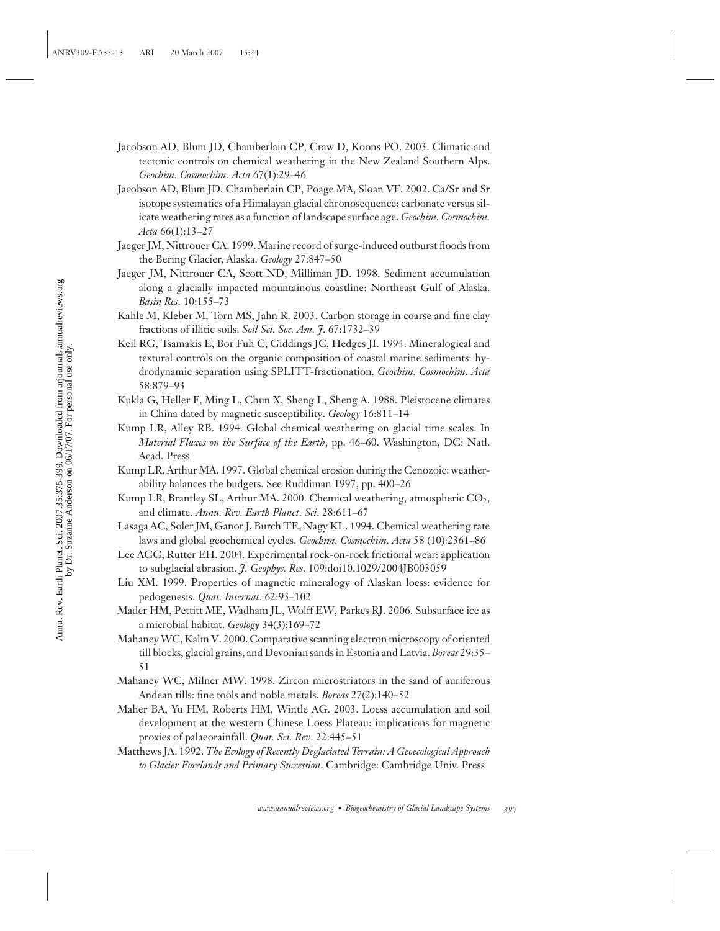- Jacobson AD, Blum JD, Chamberlain CP, Craw D, Koons PO. 2003. Climatic and tectonic controls on chemical weathering in the New Zealand Southern Alps. *Geochim. Cosmochim. Acta* 67(1):29–46
- Jacobson AD, Blum JD, Chamberlain CP, Poage MA, Sloan VF. 2002. Ca/Sr and Sr isotope systematics of a Himalayan glacial chronosequence: carbonate versus silicate weathering rates as a function of landscape surface age. *Geochim. Cosmochim. Acta* 66(1):13–27
- Jaeger JM, Nittrouer CA. 1999. Marine record of surge-induced outburst floods from the Bering Glacier, Alaska. *Geology* 27:847–50
- Jaeger JM, Nittrouer CA, Scott ND, Milliman JD. 1998. Sediment accumulation along a glacially impacted mountainous coastline: Northeast Gulf of Alaska. *Basin Res*. 10:155–73
- Kahle M, Kleber M, Torn MS, Jahn R. 2003. Carbon storage in coarse and fine clay fractions of illitic soils. *Soil Sci. Soc. Am. J*. 67:1732–39
- Keil RG, Tsamakis E, Bor Fuh C, Giddings JC, Hedges JI. 1994. Mineralogical and textural controls on the organic composition of coastal marine sediments: hydrodynamic separation using SPLITT-fractionation. *Geochim. Cosmochim. Acta* 58:879–93
- Kukla G, Heller F, Ming L, Chun X, Sheng L, Sheng A. 1988. Pleistocene climates in China dated by magnetic susceptibility. *Geology* 16:811–14
- Kump LR, Alley RB. 1994. Global chemical weathering on glacial time scales. In *Material Fluxes on the Surface of the Earth*, pp. 46–60. Washington, DC: Natl. Acad. Press
- Kump LR, Arthur MA. 1997. Global chemical erosion during the Cenozoic: weatherability balances the budgets. See Ruddiman 1997, pp. 400–26
- Kump LR, Brantley SL, Arthur MA. 2000. Chemical weathering, atmospheric CO<sub>2</sub>, and climate. *Annu. Rev. Earth Planet. Sci*. 28:611–67
- Lasaga AC, Soler JM, Ganor J, Burch TE, Nagy KL. 1994. Chemical weathering rate laws and global geochemical cycles. *Geochim. Cosmochim. Acta* 58 (10):2361–86
- Lee AGG, Rutter EH. 2004. Experimental rock-on-rock frictional wear: application to subglacial abrasion. *J. Geophys. Res*. 109:doi10.1029/2004JB003059
- Liu XM. 1999. Properties of magnetic mineralogy of Alaskan loess: evidence for pedogenesis. *Quat. Internat*. 62:93–102
- Mader HM, Pettitt ME, Wadham JL, Wolff EW, Parkes RJ. 2006. Subsurface ice as a microbial habitat. *Geology* 34(3):169–72
- Mahaney WC, Kalm V. 2000. Comparative scanning electron microscopy of oriented till blocks, glacial grains, and Devonian sands in Estonia and Latvia. *Boreas* 29:35– 51
- Mahaney WC, Milner MW. 1998. Zircon microstriators in the sand of auriferous Andean tills: fine tools and noble metals. *Boreas* 27(2):140–52
- Maher BA, Yu HM, Roberts HM, Wintle AG. 2003. Loess accumulation and soil development at the western Chinese Loess Plateau: implications for magnetic proxies of palaeorainfall. *Quat. Sci. Rev*. 22:445–51
- Matthews JA. 1992. *The Ecology of Recently Deglaciated Terrain: A Geoecological Approach to Glacier Forelands and Primary Succession*. Cambridge: Cambridge Univ. Press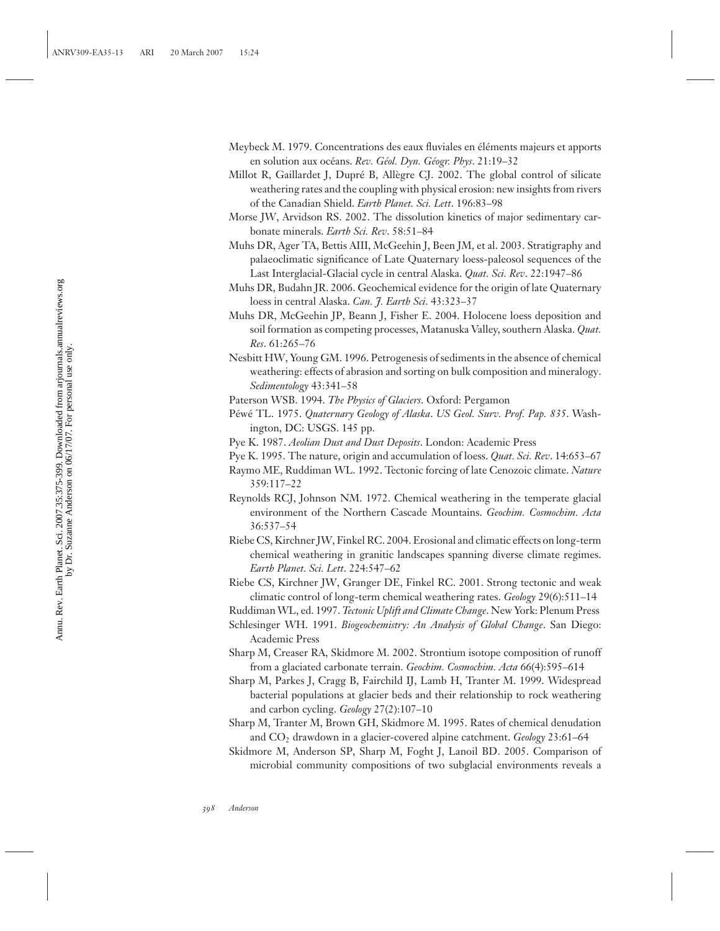- Meybeck M. 1979. Concentrations des eaux fluviales en éléments majeurs et apports en solution aux océans. Rev. Géol. Dyn. Géogr. Phys. 21:19–32
- Millot R, Gaillardet J, Dupré B, Allègre CJ. 2002. The global control of silicate weathering rates and the coupling with physical erosion: new insights from rivers of the Canadian Shield. *Earth Planet. Sci. Lett*. 196:83–98
- Morse JW, Arvidson RS. 2002. The dissolution kinetics of major sedimentary carbonate minerals. *Earth Sci. Rev*. 58:51–84
- Muhs DR, Ager TA, Bettis AIII, McGeehin J, Been JM, et al. 2003. Stratigraphy and palaeoclimatic significance of Late Quaternary loess-paleosol sequences of the Last Interglacial-Glacial cycle in central Alaska. *Quat. Sci. Rev*. 22:1947–86
- Muhs DR, Budahn JR. 2006. Geochemical evidence for the origin of late Quaternary loess in central Alaska. *Can. J. Earth Sci*. 43:323–37
- Muhs DR, McGeehin JP, Beann J, Fisher E. 2004. Holocene loess deposition and soil formation as competing processes, Matanuska Valley, southern Alaska. *Quat. Res*. 61:265–76
- Nesbitt HW, Young GM. 1996. Petrogenesis of sediments in the absence of chemical weathering: effects of abrasion and sorting on bulk composition and mineralogy. *Sedimentology* 43:341–58
- Paterson WSB. 1994. *The Physics of Glaciers*. Oxford: Pergamon
- Péwé TL. 1975. Quaternary Geology of Alaska. US Geol. Surv. Prof. Pap. 835. Washington, DC: USGS. 145 pp.
- Pye K. 1987. *Aeolian Dust and Dust Deposits*. London: Academic Press
- Pye K. 1995. The nature, origin and accumulation of loess. *Quat. Sci. Rev*. 14:653–67
- Raymo ME, Ruddiman WL. 1992. Tectonic forcing of late Cenozoic climate. *Nature* 359:117–22
- Reynolds RCJ, Johnson NM. 1972. Chemical weathering in the temperate glacial environment of the Northern Cascade Mountains. *Geochim. Cosmochim. Acta* 36:537–54
- Riebe CS, Kirchner JW, Finkel RC. 2004. Erosional and climatic effects on long-term chemical weathering in granitic landscapes spanning diverse climate regimes. *Earth Planet. Sci. Lett*. 224:547–62
- Riebe CS, Kirchner JW, Granger DE, Finkel RC. 2001. Strong tectonic and weak climatic control of long-term chemical weathering rates. *Geology* 29(6):511–14
- Ruddiman WL, ed. 1997. *Tectonic Uplift and Climate Change*. New York: Plenum Press
- Schlesinger WH. 1991. *Biogeochemistry: An Analysis of Global Change*. San Diego: Academic Press
- Sharp M, Creaser RA, Skidmore M. 2002. Strontium isotope composition of runoff from a glaciated carbonate terrain. *Geochim. Cosmochim. Acta* 66(4):595–614
- Sharp M, Parkes J, Cragg B, Fairchild IJ, Lamb H, Tranter M. 1999. Widespread bacterial populations at glacier beds and their relationship to rock weathering and carbon cycling. *Geology* 27(2):107–10
- Sharp M, Tranter M, Brown GH, Skidmore M. 1995. Rates of chemical denudation and CO2 drawdown in a glacier-covered alpine catchment. *Geology* 23:61–64
- Skidmore M, Anderson SP, Sharp M, Foght J, Lanoil BD. 2005. Comparison of microbial community compositions of two subglacial environments reveals a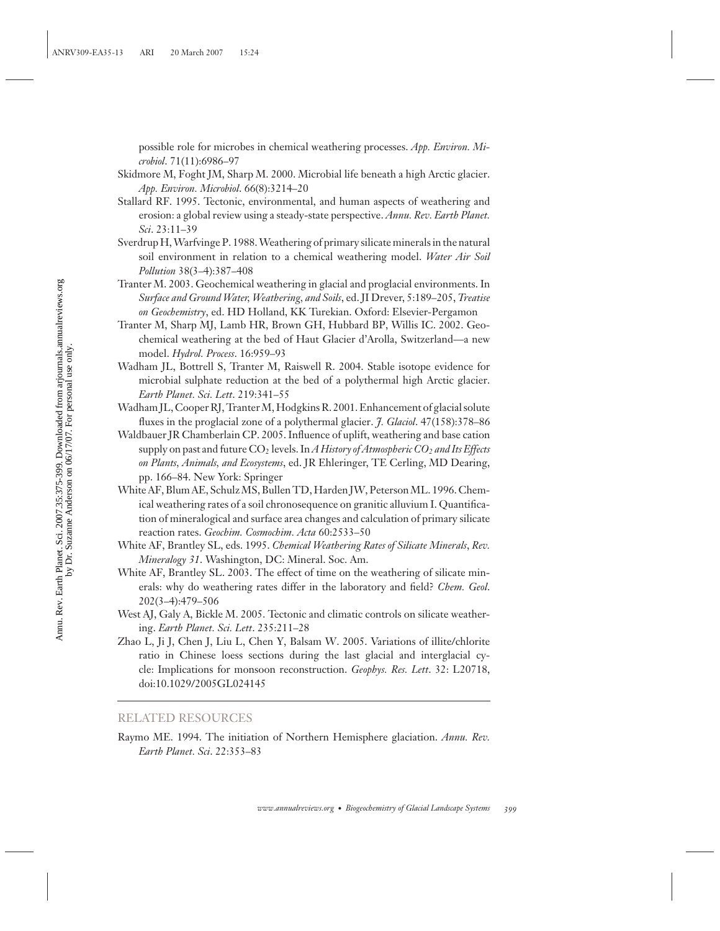possible role for microbes in chemical weathering processes. *App. Environ. Microbiol*. 71(11):6986–97

- Skidmore M, Foght JM, Sharp M. 2000. Microbial life beneath a high Arctic glacier. *App. Environ. Microbiol*. 66(8):3214–20
- Stallard RF. 1995. Tectonic, environmental, and human aspects of weathering and erosion: a global review using a steady-state perspective. *Annu. Rev. Earth Planet. Sci*. 23:11–39
- Sverdrup H, Warfvinge P. 1988. Weathering of primary silicate minerals in the natural soil environment in relation to a chemical weathering model. *Water Air Soil Pollution* 38(3–4):387–408
- Tranter M. 2003. Geochemical weathering in glacial and proglacial environments. In *Surface and Ground Water, Weathering, and Soils*, ed. JI Drever, 5:189–205, *Treatise on Geochemistry*, ed. HD Holland, KK Turekian. Oxford: Elsevier-Pergamon
- Tranter M, Sharp MJ, Lamb HR, Brown GH, Hubbard BP, Willis IC. 2002. Geochemical weathering at the bed of Haut Glacier d'Arolla, Switzerland—a new model. *Hydrol. Process*. 16:959–93
- Wadham JL, Bottrell S, Tranter M, Raiswell R. 2004. Stable isotope evidence for microbial sulphate reduction at the bed of a polythermal high Arctic glacier. *Earth Planet. Sci. Lett*. 219:341–55
- Wadham JL, Cooper RJ, Tranter M, Hodgkins R. 2001. Enhancement of glacial solute fluxes in the proglacial zone of a polythermal glacier. *J. Glaciol*. 47(158):378–86
- Waldbauer JR Chamberlain CP. 2005. Influence of uplift, weathering and base cation supply on past and future CO2 levels. In*A History of Atmospheric CO2 and Its Effects on Plants, Animals, and Ecosystems*, ed. JR Ehleringer, TE Cerling, MD Dearing, pp. 166–84. New York: Springer
- White AF, Blum AE, Schulz MS, Bullen TD, Harden JW, Peterson ML. 1996. Chemical weathering rates of a soil chronosequence on granitic alluvium I. Quantification of mineralogical and surface area changes and calculation of primary silicate reaction rates. *Geochim. Cosmochim. Acta* 60:2533–50
- White AF, Brantley SL, eds. 1995. *Chemical Weathering Rates of Silicate Minerals*, *Rev. Mineralogy 31*. Washington, DC: Mineral. Soc. Am.
- White AF, Brantley SL. 2003. The effect of time on the weathering of silicate minerals: why do weathering rates differ in the laboratory and field? *Chem. Geol*. 202(3–4):479–506
- West AJ, Galy A, Bickle M. 2005. Tectonic and climatic controls on silicate weathering. *Earth Planet. Sci. Lett*. 235:211–28
- Zhao L, Ji J, Chen J, Liu L, Chen Y, Balsam W. 2005. Variations of illite/chlorite ratio in Chinese loess sections during the last glacial and interglacial cycle: Implications for monsoon reconstruction. *Geophys. Res. Lett*. 32: L20718, doi:10.1029/2005GL024145

## RELATED RESOURCES

Raymo ME. 1994. The initiation of Northern Hemisphere glaciation. *Annu. Rev. Earth Planet. Sci*. 22:353–83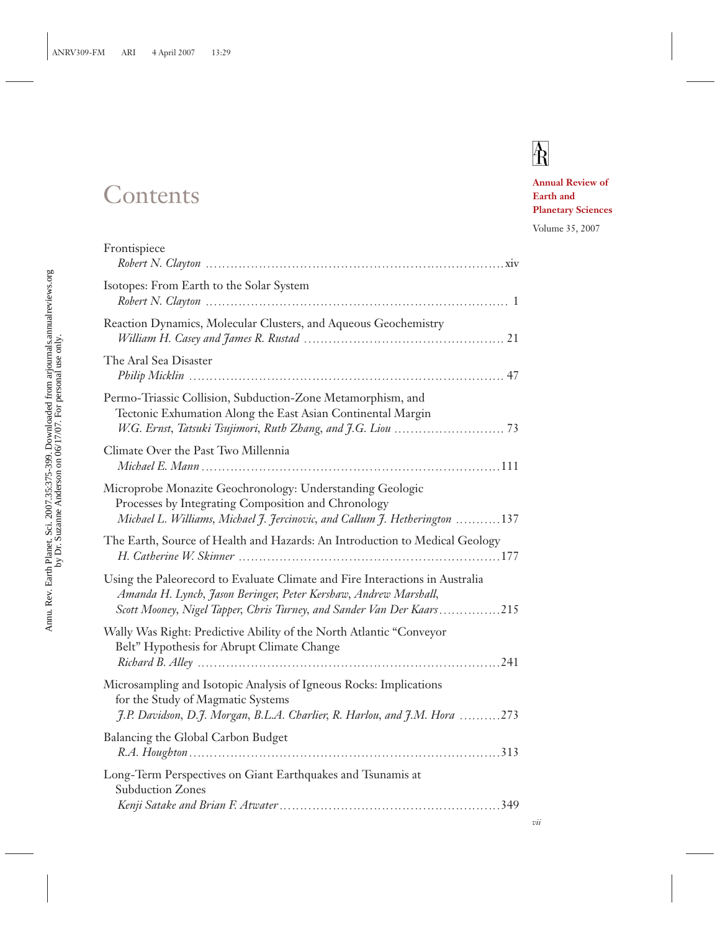## **Contents**

# $\overline{R}$

**Annual Review of Earth and Planetary Sciences**

Volume 35, 2007

| Frontispiece                                                                                                                                                                                                               |  |
|----------------------------------------------------------------------------------------------------------------------------------------------------------------------------------------------------------------------------|--|
| Isotopes: From Earth to the Solar System                                                                                                                                                                                   |  |
| Reaction Dynamics, Molecular Clusters, and Aqueous Geochemistry                                                                                                                                                            |  |
| The Aral Sea Disaster                                                                                                                                                                                                      |  |
| Permo-Triassic Collision, Subduction-Zone Metamorphism, and<br>Tectonic Exhumation Along the East Asian Continental Margin                                                                                                 |  |
| Climate Over the Past Two Millennia                                                                                                                                                                                        |  |
| Microprobe Monazite Geochronology: Understanding Geologic<br>Processes by Integrating Composition and Chronology<br>Michael L. Williams, Michael J. Jercinovic, and Callum J. Hetherington 137                             |  |
| The Earth, Source of Health and Hazards: An Introduction to Medical Geology                                                                                                                                                |  |
| Using the Paleorecord to Evaluate Climate and Fire Interactions in Australia<br>Amanda H. Lynch, Jason Beringer, Peter Kershaw, Andrew Marshall,<br>Scott Mooney, Nigel Tapper, Chris Turney, and Sander Van Der Kaars 215 |  |
| Wally Was Right: Predictive Ability of the North Atlantic "Conveyor<br>Belt" Hypothesis for Abrupt Climate Change                                                                                                          |  |
| Microsampling and Isotopic Analysis of Igneous Rocks: Implications<br>for the Study of Magmatic Systems<br>J.P. Davidson, D.J. Morgan, B.L.A. Charlier, R. Harlou, and J.M. Hora 273                                       |  |
| Balancing the Global Carbon Budget                                                                                                                                                                                         |  |
| Long-Term Perspectives on Giant Earthquakes and Tsunamis at<br><b>Subduction Zones</b>                                                                                                                                     |  |
|                                                                                                                                                                                                                            |  |